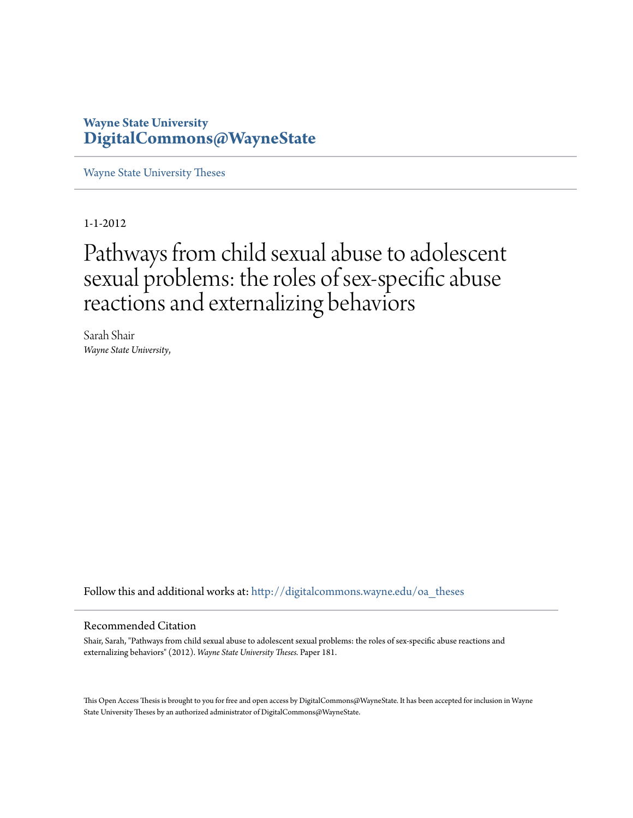# **Wayne State University [DigitalCommons@WayneState](http://digitalcommons.wayne.edu?utm_source=digitalcommons.wayne.edu%2Foa_theses%2F181&utm_medium=PDF&utm_campaign=PDFCoverPages)**

[Wayne State University Theses](http://digitalcommons.wayne.edu/oa_theses?utm_source=digitalcommons.wayne.edu%2Foa_theses%2F181&utm_medium=PDF&utm_campaign=PDFCoverPages)

1-1-2012

# Pathways from child sexual abuse to adolescent sexual problems: the roles of sex-specific abuse reactions and externalizing behaviors

Sarah Shair *Wayne State University*,

Follow this and additional works at: [http://digitalcommons.wayne.edu/oa\\_theses](http://digitalcommons.wayne.edu/oa_theses?utm_source=digitalcommons.wayne.edu%2Foa_theses%2F181&utm_medium=PDF&utm_campaign=PDFCoverPages)

## Recommended Citation

Shair, Sarah, "Pathways from child sexual abuse to adolescent sexual problems: the roles of sex-specific abuse reactions and externalizing behaviors" (2012). *Wayne State University Theses.* Paper 181.

This Open Access Thesis is brought to you for free and open access by DigitalCommons@WayneState. It has been accepted for inclusion in Wayne State University Theses by an authorized administrator of DigitalCommons@WayneState.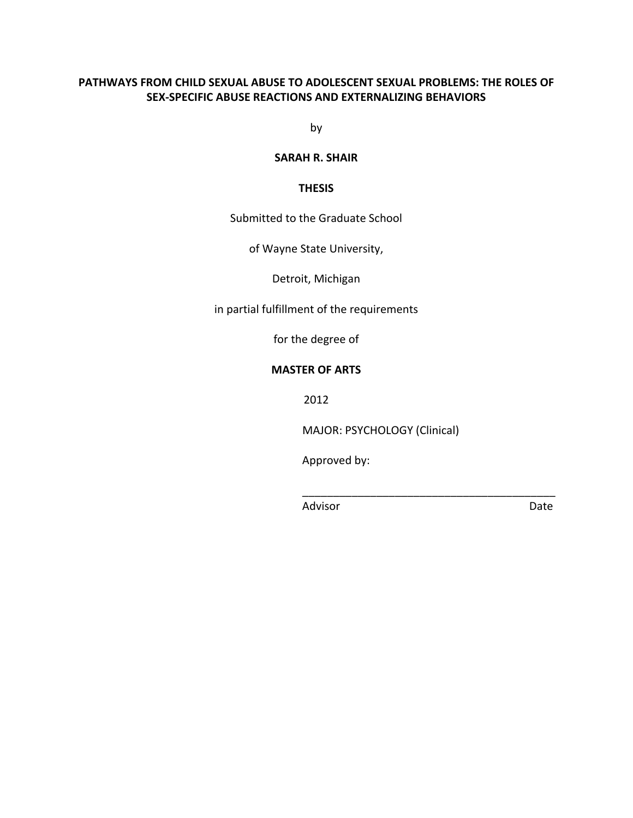# PATHWAYS FROM CHILD SEXUAL ABUSE TO ADOLESCENT SEXUAL PROBLEMS: THE ROLES OF SEX-SPECIFIC ABUSE REACTIONS AND EXTERNALIZING BEHAVIORS

by

## **SARAH R. SHAIR**

## **THESIS**

## Submitted to the Graduate School

## of Wayne State University,

## Detroit, Michigan

in partial fulfillment of the requirements

for the degree of

## **MASTER OF ARTS**

2012

MAJOR: PSYCHOLOGY (Clinical)

Approved by:

Advisor

Date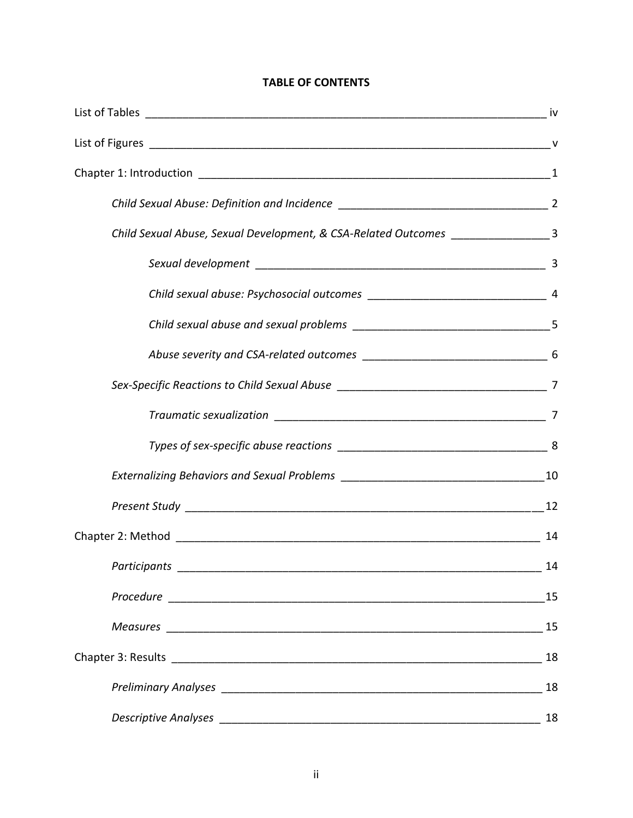# **TABLE OF CONTENTS**

| Child Sexual Abuse, Sexual Development, & CSA-Related Outcomes _________________3 |    |
|-----------------------------------------------------------------------------------|----|
|                                                                                   |    |
|                                                                                   |    |
|                                                                                   |    |
|                                                                                   |    |
|                                                                                   |    |
|                                                                                   |    |
|                                                                                   |    |
|                                                                                   |    |
|                                                                                   |    |
|                                                                                   | 14 |
|                                                                                   | 14 |
|                                                                                   |    |
|                                                                                   | 15 |
|                                                                                   | 18 |
|                                                                                   | 18 |
|                                                                                   | 18 |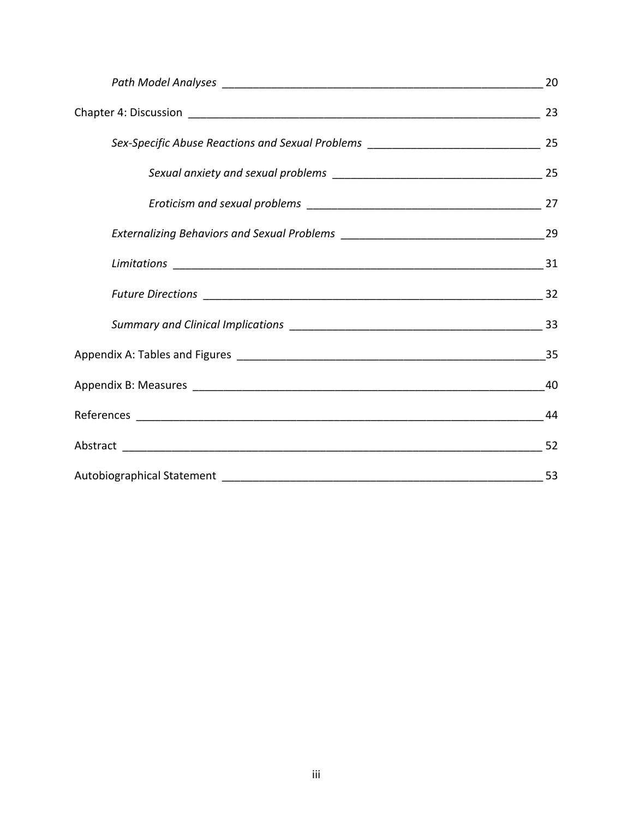| 44 |
|----|
|    |
|    |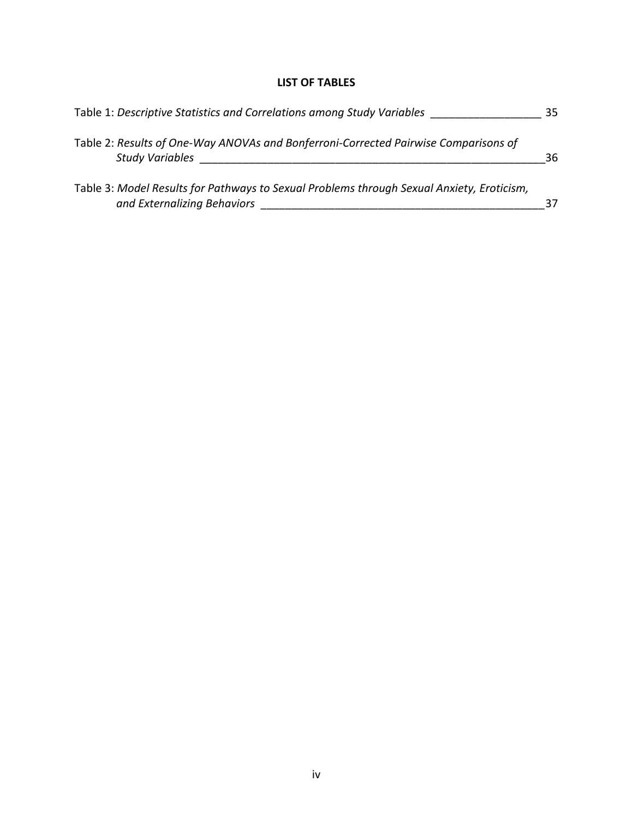# **LIST OF TABLES**

| Table 1: Descriptive Statistics and Correlations among Study Variables                                                   |    |  |
|--------------------------------------------------------------------------------------------------------------------------|----|--|
| Table 2: Results of One-Way ANOVAs and Bonferroni-Corrected Pairwise Comparisons of<br><b>Study Variables</b>            | 36 |  |
| Table 3: Model Results for Pathways to Sexual Problems through Sexual Anxiety, Eroticism,<br>and Externalizing Behaviors |    |  |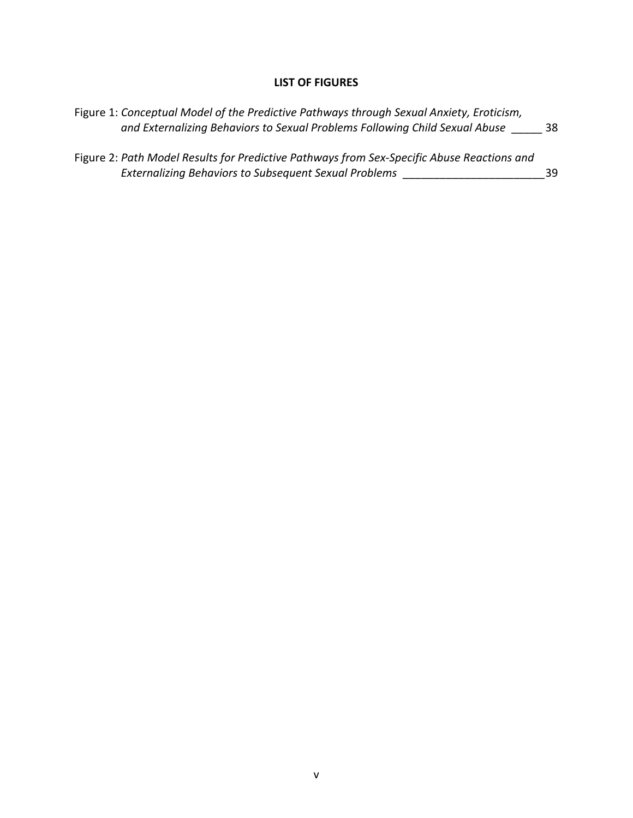# **LIST OF FIGURES**

| Figure 1: Conceptual Model of the Predictive Pathways through Sexual Anxiety, Eroticism,<br>and Externalizing Behaviors to Sexual Problems Following Child Sexual Abuse | 38 |
|-------------------------------------------------------------------------------------------------------------------------------------------------------------------------|----|
| Figure 2: Path Model Results for Predictive Pathways from Sex-Specific Abuse Reactions and<br><b>Externalizing Behaviors to Subsequent Sexual Problems</b>              | 39 |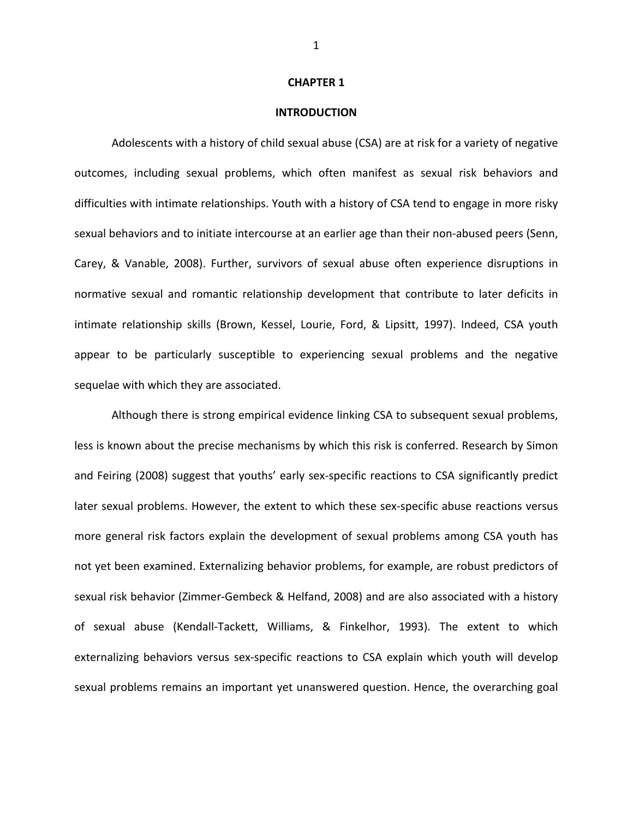#### **CHAPTER 1**

#### **INTRODUCTION**

Adolescents with a history of child sexual abuse (CSA) are at risk for a variety of negative outcomes, including sexual problems, which often manifest as sexual risk behaviors and difficulties with intimate relationships. Youth with a history of CSA tend to engage in more risky sexual behaviors and to initiate intercourse at an earlier age than their non-abused peers (Senn, Carey, & Vanable, 2008). Further, survivors of sexual abuse often experience disruptions in normative sexual and romantic relationship development that contribute to later deficits in intimate relationship skills (Brown, Kessel, Lourie, Ford, & Lipsitt, 1997). Indeed, CSA youth appear to be particularly susceptible to experiencing sexual problems and the negative sequelae with which they are associated.

Although there is strong empirical evidence linking CSA to subsequent sexual problems, less is known about the precise mechanisms by which this risk is conferred. Research by Simon and Feiring (2008) suggest that youths' early sex-specific reactions to CSA significantly predict later sexual problems. However, the extent to which these sex-specific abuse reactions versus more general risk factors explain the development of sexual problems among CSA youth has not yet been examined. Externalizing behavior problems, for example, are robust predictors of sexual risk behavior (Zimmer-Gembeck & Helfand, 2008) and are also associated with a history of sexual abuse (Kendall-Tackett, Williams, & Finkelhor, 1993). The extent to which externalizing behaviors versus sex-specific reactions to CSA explain which youth will develop sexual problems remains an important yet unanswered question. Hence, the overarching goal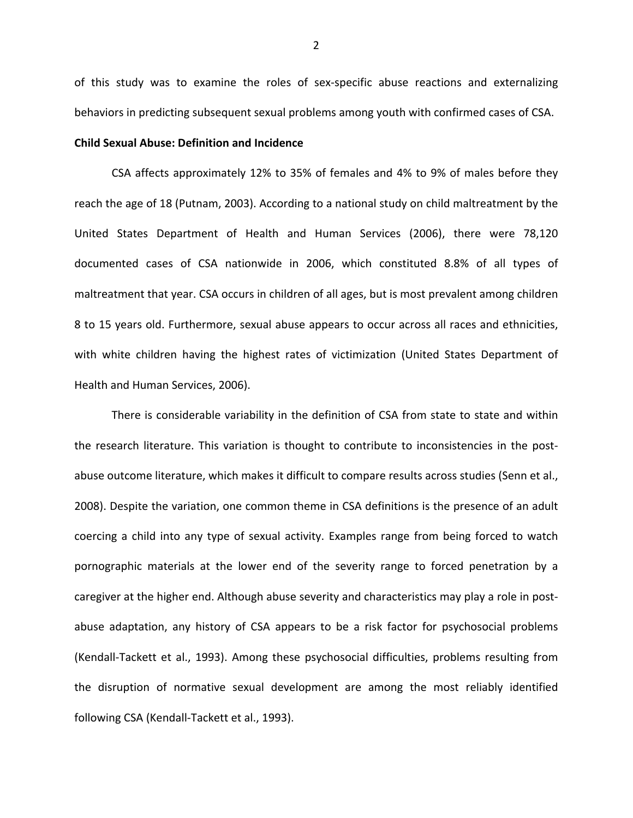of this study was to examine the roles of sex-specific abuse reactions and externalizing behaviors in predicting subsequent sexual problems among youth with confirmed cases of CSA.

#### **Child Sexual Abuse: Definition and Incidence**

CSA affects approximately 12% to 35% of females and 4% to 9% of males before they reach the age of 18 (Putnam, 2003). According to a national study on child maltreatment by the United States Department of Health and Human Services (2006), there were 78,120 documented cases of CSA nationwide in 2006, which constituted 8.8% of all types of maltreatment that year. CSA occurs in children of all ages, but is most prevalent among children 8 to 15 years old. Furthermore, sexual abuse appears to occur across all races and ethnicities, with white children having the highest rates of victimization (United States Department of Health and Human Services, 2006).

There is considerable variability in the definition of CSA from state to state and within the research literature. This variation is thought to contribute to inconsistencies in the postabuse outcome literature, which makes it difficult to compare results across studies (Senn et al., 2008). Despite the variation, one common theme in CSA definitions is the presence of an adult coercing a child into any type of sexual activity. Examples range from being forced to watch pornographic materials at the lower end of the severity range to forced penetration by a caregiver at the higher end. Although abuse severity and characteristics may play a role in postabuse adaptation, any history of CSA appears to be a risk factor for psychosocial problems (Kendall-Tackett et al., 1993). Among these psychosocial difficulties, problems resulting from the disruption of normative sexual development are among the most reliably identified following CSA (Kendall-Tackett et al., 1993).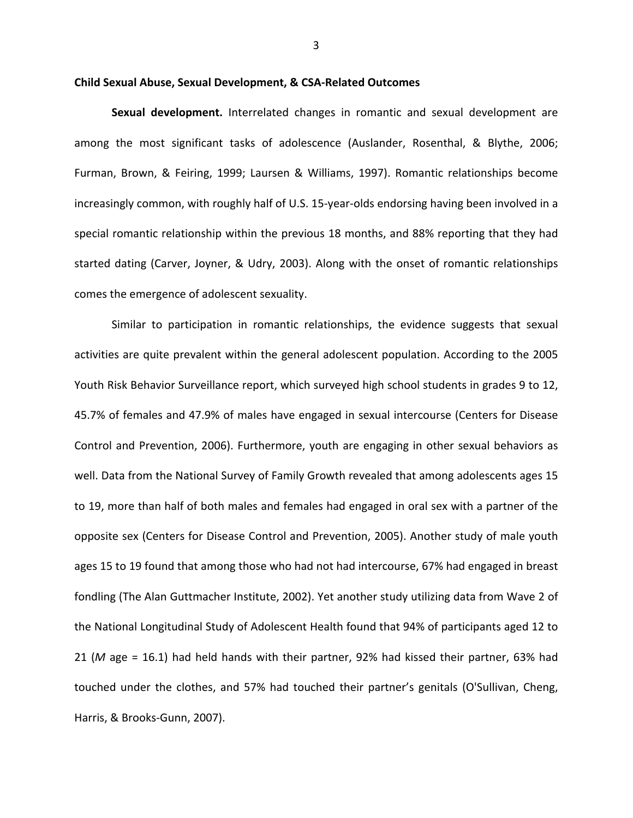#### Child Sexual Abuse, Sexual Development, & CSA-Related Outcomes

Sexual development. Interrelated changes in romantic and sexual development are among the most significant tasks of adolescence (Auslander, Rosenthal, & Blythe, 2006; Furman, Brown, & Feiring, 1999; Laursen & Williams, 1997). Romantic relationships become increasingly common, with roughly half of U.S. 15-year-olds endorsing having been involved in a special romantic relationship within the previous 18 months, and 88% reporting that they had started dating (Carver, Joyner, & Udry, 2003). Along with the onset of romantic relationships comes the emergence of adolescent sexuality.

Similar to participation in romantic relationships, the evidence suggests that sexual activities are quite prevalent within the general adolescent population. According to the 2005 Youth Risk Behavior Surveillance report, which surveyed high school students in grades 9 to 12, 45.7% of females and 47.9% of males have engaged in sexual intercourse (Centers for Disease Control and Prevention, 2006). Furthermore, youth are engaging in other sexual behaviors as well. Data from the National Survey of Family Growth revealed that among adolescents ages 15 to 19, more than half of both males and females had engaged in oral sex with a partner of the opposite sex (Centers for Disease Control and Prevention, 2005). Another study of male youth ages 15 to 19 found that among those who had not had intercourse, 67% had engaged in breast fondling (The Alan Guttmacher Institute, 2002). Yet another study utilizing data from Wave 2 of the National Longitudinal Study of Adolescent Health found that 94% of participants aged 12 to 21 (M age = 16.1) had held hands with their partner, 92% had kissed their partner, 63% had touched under the clothes, and 57% had touched their partner's genitals (O'Sullivan, Cheng, Harris, & Brooks-Gunn, 2007).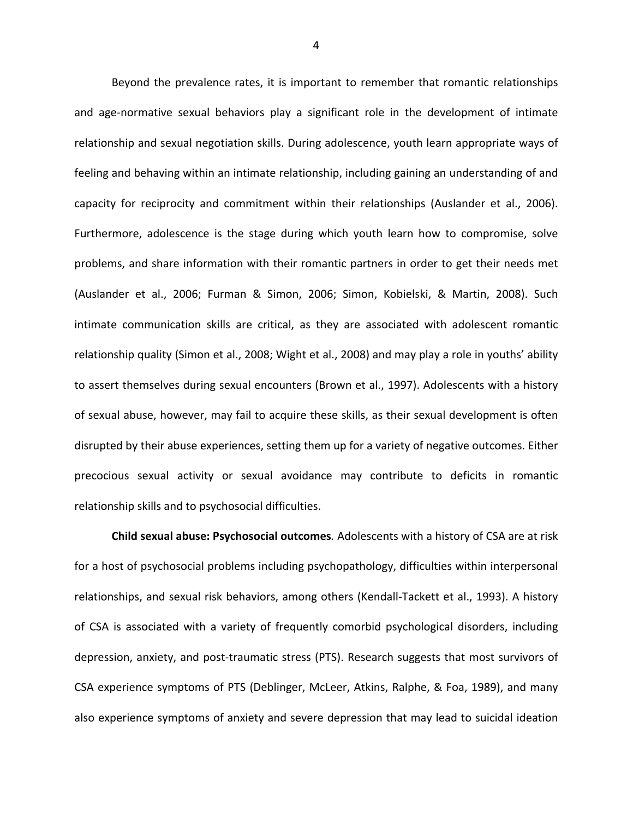Beyond the prevalence rates, it is important to remember that romantic relationships and age-normative sexual behaviors play a significant role in the development of intimate relationship and sexual negotiation skills. During adolescence, youth learn appropriate ways of feeling and behaving within an intimate relationship, including gaining an understanding of and capacity for reciprocity and commitment within their relationships (Auslander et al., 2006). Furthermore, adolescence is the stage during which youth learn how to compromise, solve problems, and share information with their romantic partners in order to get their needs met (Auslander et al., 2006; Furman & Simon, 2006; Simon, Kobielski, & Martin, 2008). Such intimate communication skills are critical, as they are associated with adolescent romantic relationship quality (Simon et al., 2008; Wight et al., 2008) and may play a role in youths' ability to assert themselves during sexual encounters (Brown et al., 1997). Adolescents with a history of sexual abuse, however, may fail to acquire these skills, as their sexual development is often disrupted by their abuse experiences, setting them up for a variety of negative outcomes. Either precocious sexual activity or sexual avoidance may contribute to deficits in romantic relationship skills and to psychosocial difficulties.

Child sexual abuse: Psychosocial outcomes. Adolescents with a history of CSA are at risk for a host of psychosocial problems including psychopathology, difficulties within interpersonal relationships, and sexual risk behaviors, among others (Kendall-Tackett et al., 1993). A history of CSA is associated with a variety of frequently comorbid psychological disorders, including depression, anxiety, and post-traumatic stress (PTS). Research suggests that most survivors of CSA experience symptoms of PTS (Deblinger, McLeer, Atkins, Ralphe, & Foa, 1989), and many also experience symptoms of anxiety and severe depression that may lead to suicidal ideation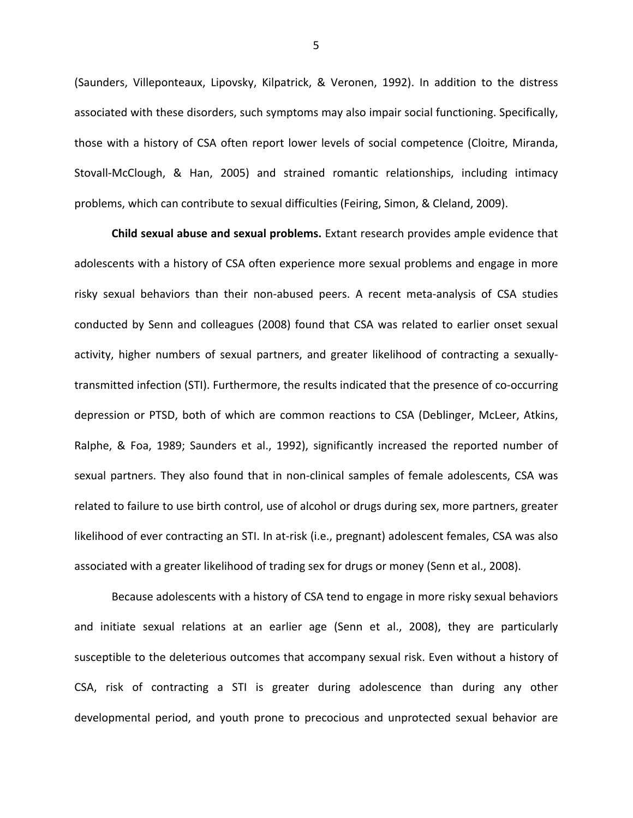(Saunders, Villeponteaux, Lipovsky, Kilpatrick, & Veronen, 1992). In addition to the distress associated with these disorders, such symptoms may also impair social functioning. Specifically, those with a history of CSA often report lower levels of social competence (Cloitre, Miranda, Stovall-McClough, & Han, 2005) and strained romantic relationships, including intimacy problems, which can contribute to sexual difficulties (Feiring, Simon, & Cleland, 2009).

Child sexual abuse and sexual problems. Extant research provides ample evidence that adolescents with a history of CSA often experience more sexual problems and engage in more risky sexual behaviors than their non-abused peers. A recent meta-analysis of CSA studies conducted by Senn and colleagues (2008) found that CSA was related to earlier onset sexual activity, higher numbers of sexual partners, and greater likelihood of contracting a sexuallytransmitted infection (STI). Furthermore, the results indicated that the presence of co-occurring depression or PTSD, both of which are common reactions to CSA (Deblinger, McLeer, Atkins, Ralphe, & Foa, 1989; Saunders et al., 1992), significantly increased the reported number of sexual partners. They also found that in non-clinical samples of female adolescents, CSA was related to failure to use birth control, use of alcohol or drugs during sex, more partners, greater likelihood of ever contracting an STI. In at-risk (i.e., pregnant) adolescent females, CSA was also associated with a greater likelihood of trading sex for drugs or money (Senn et al., 2008).

Because adolescents with a history of CSA tend to engage in more risky sexual behaviors and initiate sexual relations at an earlier age (Senn et al., 2008), they are particularly susceptible to the deleterious outcomes that accompany sexual risk. Even without a history of CSA, risk of contracting a STI is greater during adolescence than during any other developmental period, and youth prone to precocious and unprotected sexual behavior are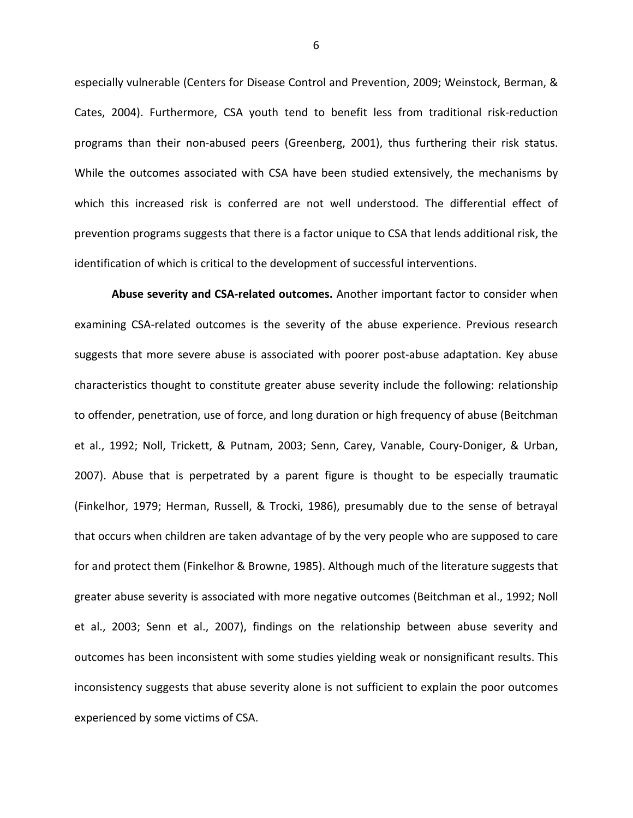especially vulnerable (Centers for Disease Control and Prevention, 2009; Weinstock, Berman, & Cates, 2004). Furthermore, CSA youth tend to benefit less from traditional risk-reduction programs than their non-abused peers (Greenberg, 2001), thus furthering their risk status. While the outcomes associated with CSA have been studied extensively, the mechanisms by which this increased risk is conferred are not well understood. The differential effect of prevention programs suggests that there is a factor unique to CSA that lends additional risk, the identification of which is critical to the development of successful interventions.

Abuse severity and CSA-related outcomes. Another important factor to consider when examining CSA-related outcomes is the severity of the abuse experience. Previous research suggests that more severe abuse is associated with poorer post-abuse adaptation. Key abuse characteristics thought to constitute greater abuse severity include the following: relationship to offender, penetration, use of force, and long duration or high frequency of abuse (Beitchman et al., 1992; Noll, Trickett, & Putnam, 2003; Senn, Carey, Vanable, Coury-Doniger, & Urban, 2007). Abuse that is perpetrated by a parent figure is thought to be especially traumatic (Finkelhor, 1979; Herman, Russell, & Trocki, 1986), presumably due to the sense of betrayal that occurs when children are taken advantage of by the very people who are supposed to care for and protect them (Finkelhor & Browne, 1985). Although much of the literature suggests that greater abuse severity is associated with more negative outcomes (Beitchman et al., 1992; Noll et al., 2003; Senn et al., 2007), findings on the relationship between abuse severity and outcomes has been inconsistent with some studies yielding weak or nonsignificant results. This inconsistency suggests that abuse severity alone is not sufficient to explain the poor outcomes experienced by some victims of CSA.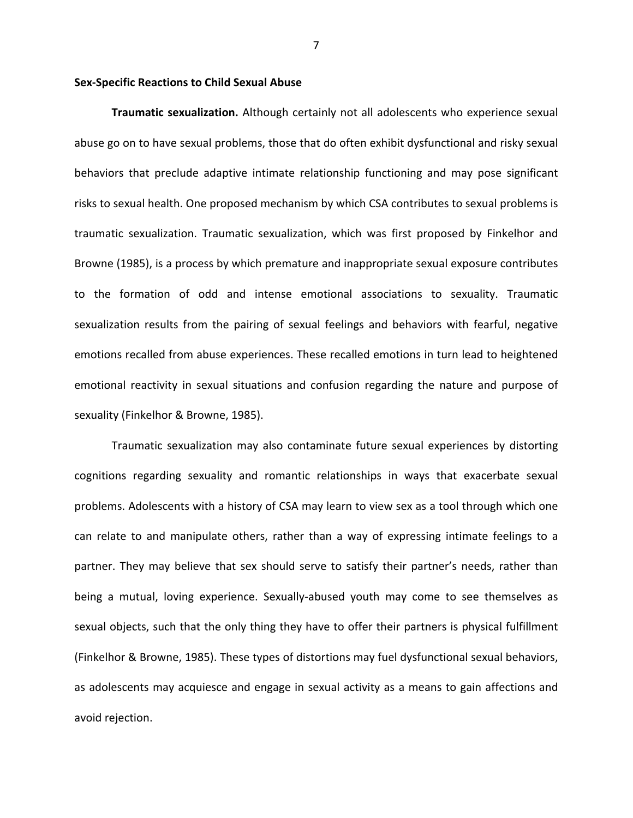## **Sex-Specific Reactions to Child Sexual Abuse**

Traumatic sexualization. Although certainly not all adolescents who experience sexual abuse go on to have sexual problems, those that do often exhibit dysfunctional and risky sexual behaviors that preclude adaptive intimate relationship functioning and may pose significant risks to sexual health. One proposed mechanism by which CSA contributes to sexual problems is traumatic sexualization. Traumatic sexualization, which was first proposed by Finkelhor and Browne (1985), is a process by which premature and inappropriate sexual exposure contributes to the formation of odd and intense emotional associations to sexuality. Traumatic sexualization results from the pairing of sexual feelings and behaviors with fearful, negative emotions recalled from abuse experiences. These recalled emotions in turn lead to heightened emotional reactivity in sexual situations and confusion regarding the nature and purpose of sexuality (Finkelhor & Browne, 1985).

Traumatic sexualization may also contaminate future sexual experiences by distorting cognitions regarding sexuality and romantic relationships in ways that exacerbate sexual problems. Adolescents with a history of CSA may learn to view sex as a tool through which one can relate to and manipulate others, rather than a way of expressing intimate feelings to a partner. They may believe that sex should serve to satisfy their partner's needs, rather than being a mutual, loving experience. Sexually-abused youth may come to see themselves as sexual objects, such that the only thing they have to offer their partners is physical fulfillment (Finkelhor & Browne, 1985). These types of distortions may fuel dysfunctional sexual behaviors, as adolescents may acquiesce and engage in sexual activity as a means to gain affections and avoid rejection.

 $\overline{7}$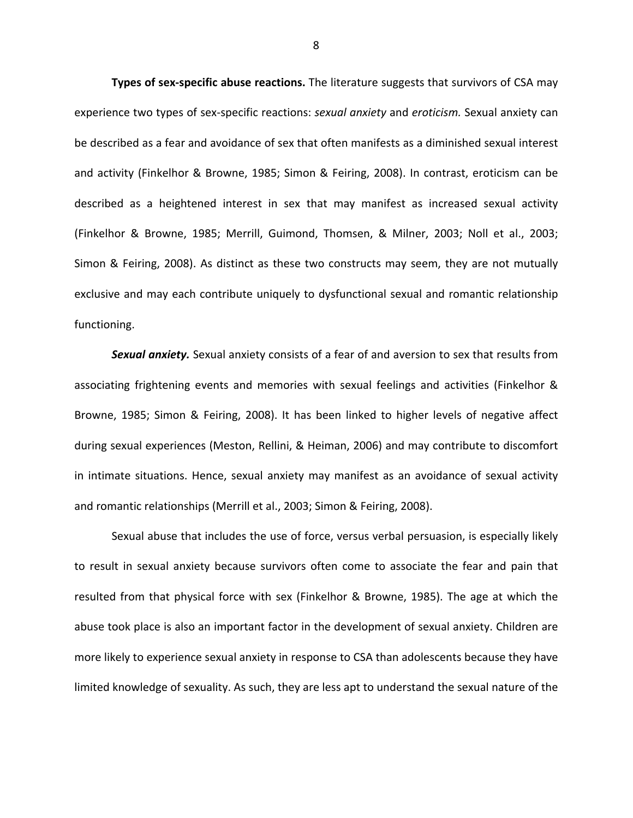Types of sex-specific abuse reactions. The literature suggests that survivors of CSA may experience two types of sex-specific reactions: sexual anxiety and eroticism. Sexual anxiety can be described as a fear and avoidance of sex that often manifests as a diminished sexual interest and activity (Finkelhor & Browne, 1985; Simon & Feiring, 2008). In contrast, eroticism can be described as a heightened interest in sex that may manifest as increased sexual activity (Finkelhor & Browne, 1985; Merrill, Guimond, Thomsen, & Milner, 2003; Noll et al., 2003; Simon & Feiring, 2008). As distinct as these two constructs may seem, they are not mutually exclusive and may each contribute uniquely to dysfunctional sexual and romantic relationship functioning.

Sexual anxiety. Sexual anxiety consists of a fear of and aversion to sex that results from associating frightening events and memories with sexual feelings and activities (Finkelhor & Browne, 1985; Simon & Feiring, 2008). It has been linked to higher levels of negative affect during sexual experiences (Meston, Rellini, & Heiman, 2006) and may contribute to discomfort in intimate situations. Hence, sexual anxiety may manifest as an avoidance of sexual activity and romantic relationships (Merrill et al., 2003; Simon & Feiring, 2008).

Sexual abuse that includes the use of force, versus verbal persuasion, is especially likely to result in sexual anxiety because survivors often come to associate the fear and pain that resulted from that physical force with sex (Finkelhor & Browne, 1985). The age at which the abuse took place is also an important factor in the development of sexual anxiety. Children are more likely to experience sexual anxiety in response to CSA than adolescents because they have limited knowledge of sexuality. As such, they are less apt to understand the sexual nature of the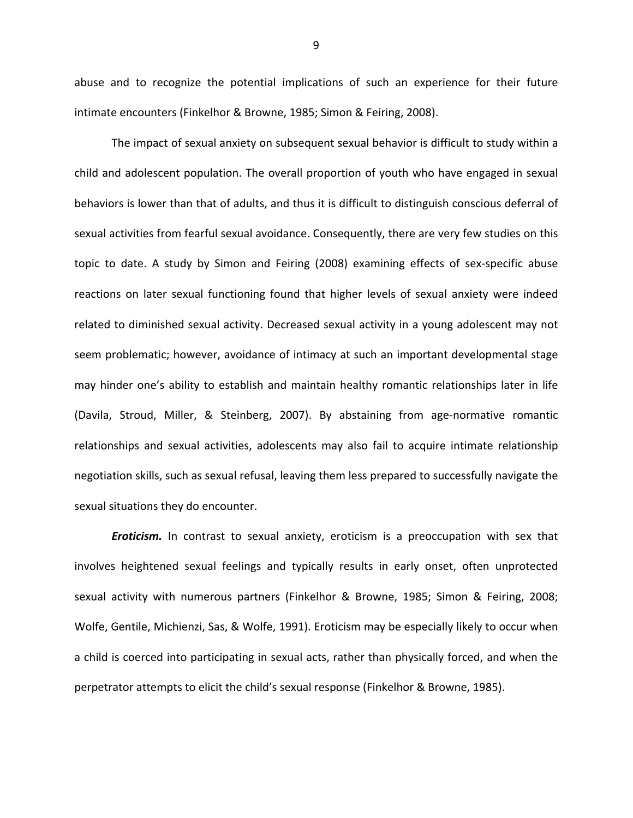abuse and to recognize the potential implications of such an experience for their future intimate encounters (Finkelhor & Browne, 1985; Simon & Feiring, 2008).

The impact of sexual anxiety on subsequent sexual behavior is difficult to study within a child and adolescent population. The overall proportion of youth who have engaged in sexual behaviors is lower than that of adults, and thus it is difficult to distinguish conscious deferral of sexual activities from fearful sexual avoidance. Consequently, there are very few studies on this topic to date. A study by Simon and Feiring (2008) examining effects of sex-specific abuse reactions on later sexual functioning found that higher levels of sexual anxiety were indeed related to diminished sexual activity. Decreased sexual activity in a young adolescent may not seem problematic; however, avoidance of intimacy at such an important developmental stage may hinder one's ability to establish and maintain healthy romantic relationships later in life (Davila, Stroud, Miller, & Steinberg, 2007). By abstaining from age-normative romantic relationships and sexual activities, adolescents may also fail to acquire intimate relationship negotiation skills, such as sexual refusal, leaving them less prepared to successfully navigate the sexual situations they do encounter.

Eroticism. In contrast to sexual anxiety, eroticism is a preoccupation with sex that involves heightened sexual feelings and typically results in early onset, often unprotected sexual activity with numerous partners (Finkelhor & Browne, 1985; Simon & Feiring, 2008; Wolfe, Gentile, Michienzi, Sas, & Wolfe, 1991). Eroticism may be especially likely to occur when a child is coerced into participating in sexual acts, rather than physically forced, and when the perpetrator attempts to elicit the child's sexual response (Finkelhor & Browne, 1985).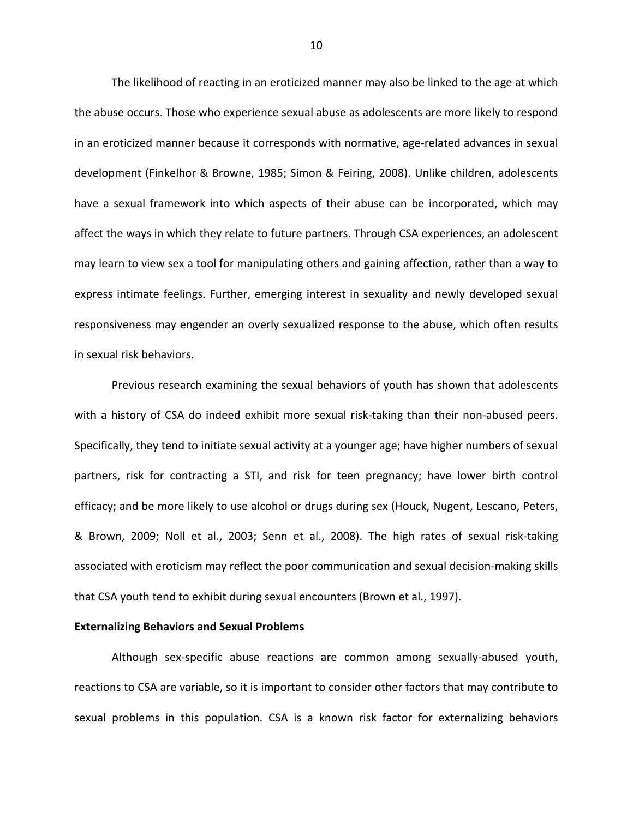The likelihood of reacting in an eroticized manner may also be linked to the age at which the abuse occurs. Those who experience sexual abuse as adolescents are more likely to respond in an eroticized manner because it corresponds with normative, age-related advances in sexual development (Finkelhor & Browne, 1985; Simon & Feiring, 2008). Unlike children, adolescents have a sexual framework into which aspects of their abuse can be incorporated, which may affect the ways in which they relate to future partners. Through CSA experiences, an adolescent may learn to view sex a tool for manipulating others and gaining affection, rather than a way to express intimate feelings. Further, emerging interest in sexuality and newly developed sexual responsiveness may engender an overly sexualized response to the abuse, which often results in sexual risk behaviors.

Previous research examining the sexual behaviors of youth has shown that adolescents with a history of CSA do indeed exhibit more sexual risk-taking than their non-abused peers. Specifically, they tend to initiate sexual activity at a younger age; have higher numbers of sexual partners, risk for contracting a STI, and risk for teen pregnancy; have lower birth control efficacy; and be more likely to use alcohol or drugs during sex (Houck, Nugent, Lescano, Peters, & Brown, 2009; Noll et al., 2003; Senn et al., 2008). The high rates of sexual risk-taking associated with eroticism may reflect the poor communication and sexual decision-making skills that CSA youth tend to exhibit during sexual encounters (Brown et al., 1997).

#### **Externalizing Behaviors and Sexual Problems**

Although sex-specific abuse reactions are common among sexually-abused youth, reactions to CSA are variable, so it is important to consider other factors that may contribute to sexual problems in this population. CSA is a known risk factor for externalizing behaviors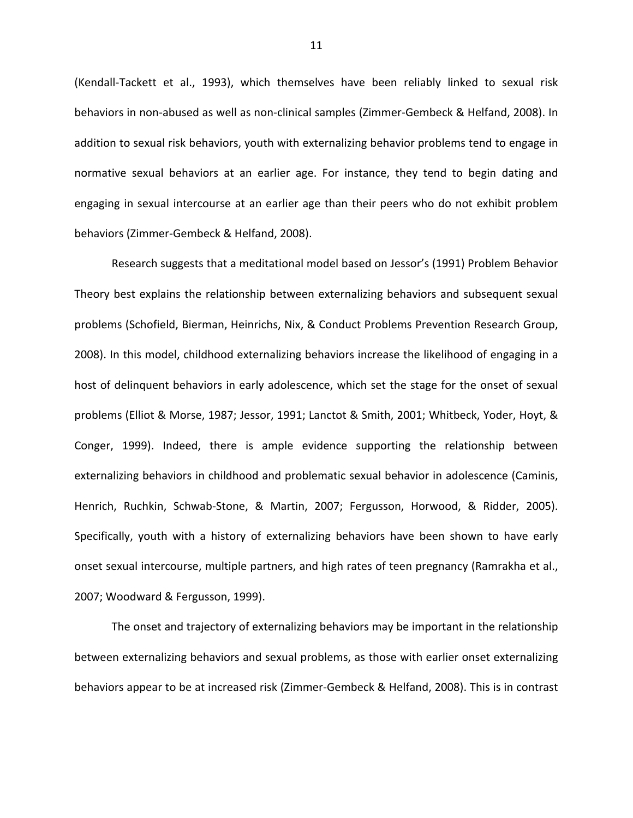(Kendall-Tackett et al., 1993), which themselves have been reliably linked to sexual risk behaviors in non-abused as well as non-clinical samples (Zimmer-Gembeck & Helfand, 2008). In addition to sexual risk behaviors, youth with externalizing behavior problems tend to engage in normative sexual behaviors at an earlier age. For instance, they tend to begin dating and engaging in sexual intercourse at an earlier age than their peers who do not exhibit problem behaviors (Zimmer-Gembeck & Helfand, 2008).

Research suggests that a meditational model based on Jessor's (1991) Problem Behavior Theory best explains the relationship between externalizing behaviors and subsequent sexual problems (Schofield, Bierman, Heinrichs, Nix, & Conduct Problems Prevention Research Group, 2008). In this model, childhood externalizing behaviors increase the likelihood of engaging in a host of delinquent behaviors in early adolescence, which set the stage for the onset of sexual problems (Elliot & Morse, 1987; Jessor, 1991; Lanctot & Smith, 2001; Whitbeck, Yoder, Hoyt, & Conger, 1999). Indeed, there is ample evidence supporting the relationship between externalizing behaviors in childhood and problematic sexual behavior in adolescence (Caminis, Henrich, Ruchkin, Schwab-Stone, & Martin, 2007; Fergusson, Horwood, & Ridder, 2005). Specifically, youth with a history of externalizing behaviors have been shown to have early onset sexual intercourse, multiple partners, and high rates of teen pregnancy (Ramrakha et al., 2007; Woodward & Fergusson, 1999).

The onset and trajectory of externalizing behaviors may be important in the relationship between externalizing behaviors and sexual problems, as those with earlier onset externalizing behaviors appear to be at increased risk (Zimmer-Gembeck & Helfand, 2008). This is in contrast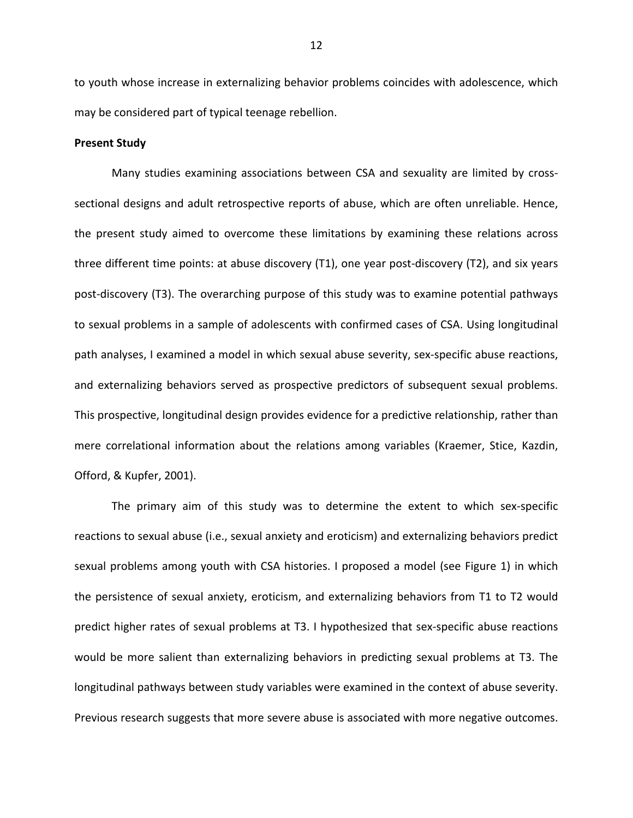to youth whose increase in externalizing behavior problems coincides with adolescence, which may be considered part of typical teenage rebellion.

## **Present Study**

Many studies examining associations between CSA and sexuality are limited by crosssectional designs and adult retrospective reports of abuse, which are often unreliable. Hence, the present study aimed to overcome these limitations by examining these relations across three different time points: at abuse discovery (T1), one year post-discovery (T2), and six years post-discovery (T3). The overarching purpose of this study was to examine potential pathways to sexual problems in a sample of adolescents with confirmed cases of CSA. Using longitudinal path analyses, I examined a model in which sexual abuse severity, sex-specific abuse reactions, and externalizing behaviors served as prospective predictors of subsequent sexual problems. This prospective, longitudinal design provides evidence for a predictive relationship, rather than mere correlational information about the relations among variables (Kraemer, Stice, Kazdin, Offord, & Kupfer, 2001).

The primary aim of this study was to determine the extent to which sex-specific reactions to sexual abuse (i.e., sexual anxiety and eroticism) and externalizing behaviors predict sexual problems among youth with CSA histories. I proposed a model (see Figure 1) in which the persistence of sexual anxiety, eroticism, and externalizing behaviors from T1 to T2 would predict higher rates of sexual problems at T3. I hypothesized that sex-specific abuse reactions would be more salient than externalizing behaviors in predicting sexual problems at T3. The longitudinal pathways between study variables were examined in the context of abuse severity. Previous research suggests that more severe abuse is associated with more negative outcomes.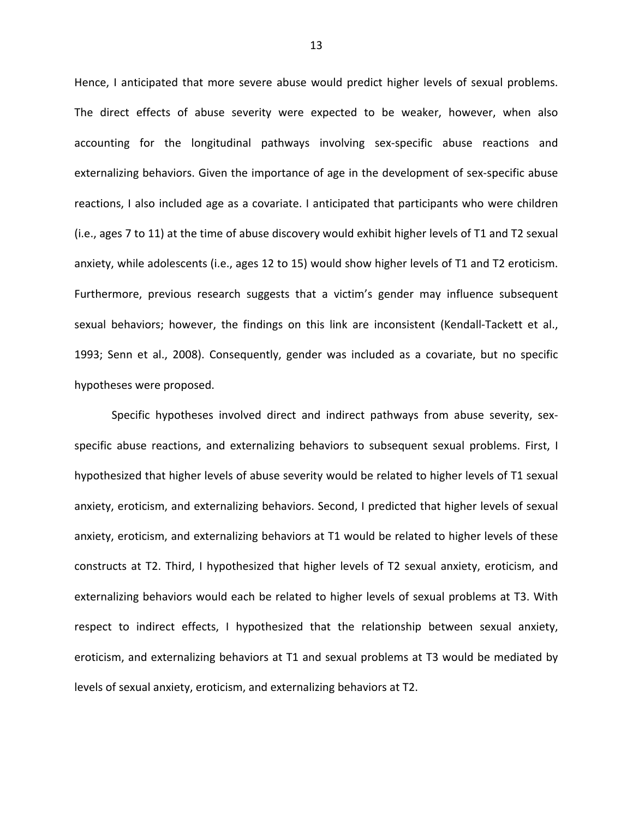Hence, I anticipated that more severe abuse would predict higher levels of sexual problems. The direct effects of abuse severity were expected to be weaker, however, when also accounting for the longitudinal pathways involving sex-specific abuse reactions and externalizing behaviors. Given the importance of age in the development of sex-specific abuse reactions, I also included age as a covariate. I anticipated that participants who were children (i.e., ages 7 to 11) at the time of abuse discovery would exhibit higher levels of T1 and T2 sexual anxiety, while adolescents (i.e., ages 12 to 15) would show higher levels of T1 and T2 eroticism. Furthermore, previous research suggests that a victim's gender may influence subsequent sexual behaviors; however, the findings on this link are inconsistent (Kendall-Tackett et al., 1993; Senn et al., 2008). Consequently, gender was included as a covariate, but no specific hypotheses were proposed.

Specific hypotheses involved direct and indirect pathways from abuse severity, sexspecific abuse reactions, and externalizing behaviors to subsequent sexual problems. First, I hypothesized that higher levels of abuse severity would be related to higher levels of T1 sexual anxiety, eroticism, and externalizing behaviors. Second, I predicted that higher levels of sexual anxiety, eroticism, and externalizing behaviors at T1 would be related to higher levels of these constructs at T2. Third, I hypothesized that higher levels of T2 sexual anxiety, eroticism, and externalizing behaviors would each be related to higher levels of sexual problems at T3. With respect to indirect effects, I hypothesized that the relationship between sexual anxiety, eroticism, and externalizing behaviors at T1 and sexual problems at T3 would be mediated by levels of sexual anxiety, eroticism, and externalizing behaviors at T2.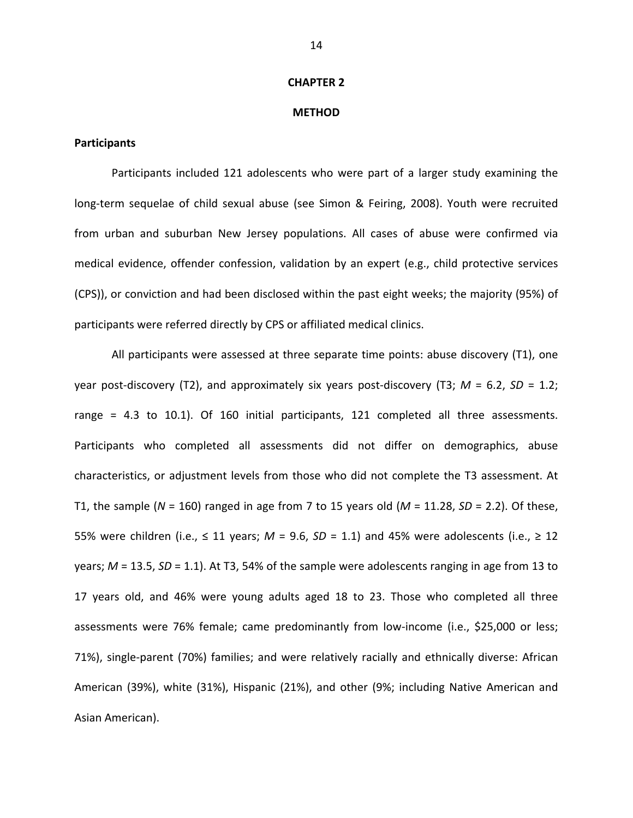#### **CHAPTER 2**

#### **METHOD**

## **Participants**

Participants included 121 adolescents who were part of a larger study examining the long-term sequelae of child sexual abuse (see Simon & Feiring, 2008). Youth were recruited from urban and suburban New Jersey populations. All cases of abuse were confirmed via medical evidence, offender confession, validation by an expert (e.g., child protective services (CPS)), or conviction and had been disclosed within the past eight weeks; the majority (95%) of participants were referred directly by CPS or affiliated medical clinics.

All participants were assessed at three separate time points: abuse discovery (T1), one year post-discovery (T2), and approximately six years post-discovery (T3;  $M = 6.2$ , SD = 1.2; range = 4.3 to 10.1). Of 160 initial participants, 121 completed all three assessments. Participants who completed all assessments did not differ on demographics, abuse characteristics, or adjustment levels from those who did not complete the T3 assessment. At T1, the sample ( $N = 160$ ) ranged in age from 7 to 15 years old ( $M = 11.28$ ,  $SD = 2.2$ ). Of these, 55% were children (i.e.,  $\leq$  11 years; M = 9.6, SD = 1.1) and 45% were adolescents (i.e.,  $\geq$  12 years;  $M = 13.5$ ,  $SD = 1.1$ ). At T3, 54% of the sample were adolescents ranging in age from 13 to 17 years old, and 46% were young adults aged 18 to 23. Those who completed all three assessments were 76% female; came predominantly from low-income (i.e., \$25,000 or less; 71%), single-parent (70%) families; and were relatively racially and ethnically diverse: African American (39%), white (31%), Hispanic (21%), and other (9%; including Native American and Asian American).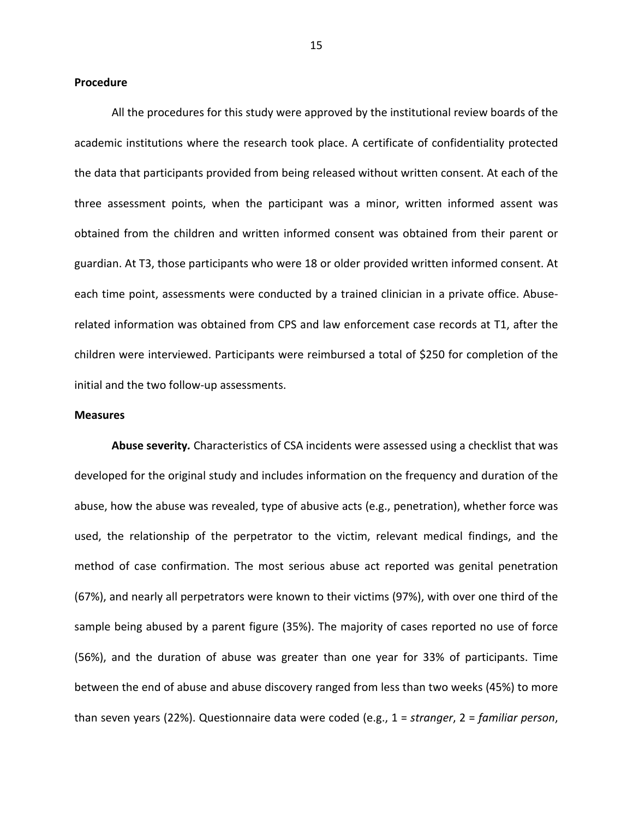#### **Procedure**

All the procedures for this study were approved by the institutional review boards of the academic institutions where the research took place. A certificate of confidentiality protected the data that participants provided from being released without written consent. At each of the three assessment points, when the participant was a minor, written informed assent was obtained from the children and written informed consent was obtained from their parent or guardian. At T3, those participants who were 18 or older provided written informed consent. At each time point, assessments were conducted by a trained clinician in a private office. Abuserelated information was obtained from CPS and law enforcement case records at T1, after the children were interviewed. Participants were reimbursed a total of \$250 for completion of the initial and the two follow-up assessments.

## **Measures**

Abuse severity. Characteristics of CSA incidents were assessed using a checklist that was developed for the original study and includes information on the frequency and duration of the abuse, how the abuse was revealed, type of abusive acts (e.g., penetration), whether force was used, the relationship of the perpetrator to the victim, relevant medical findings, and the method of case confirmation. The most serious abuse act reported was genital penetration (67%), and nearly all perpetrators were known to their victims (97%), with over one third of the sample being abused by a parent figure (35%). The majority of cases reported no use of force (56%), and the duration of abuse was greater than one year for 33% of participants. Time between the end of abuse and abuse discovery ranged from less than two weeks (45%) to more than seven years (22%). Questionnaire data were coded (e.g.,  $1 = \text{stranger}$ ,  $2 = \text{familiar person}$ ,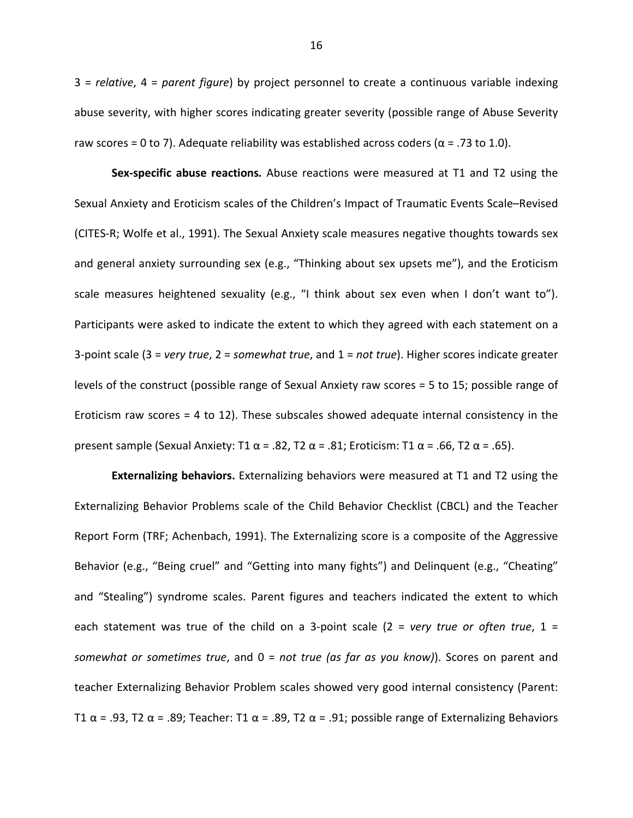$3$  = relative,  $4$  = parent figure) by project personnel to create a continuous variable indexing abuse severity, with higher scores indicating greater severity (possible range of Abuse Severity raw scores = 0 to 7). Adequate reliability was established across coders ( $\alpha$  = .73 to 1.0).

Sex-specific abuse reactions. Abuse reactions were measured at T1 and T2 using the Sexual Anxiety and Eroticism scales of the Children's Impact of Traumatic Events Scale-Revised (CITES-R; Wolfe et al., 1991). The Sexual Anxiety scale measures negative thoughts towards sex and general anxiety surrounding sex (e.g., "Thinking about sex upsets me"), and the Eroticism scale measures heightened sexuality (e.g., "I think about sex even when I don't want to"). Participants were asked to indicate the extent to which they agreed with each statement on a 3-point scale (3 = very true, 2 = somewhat true, and  $1$  = not true). Higher scores indicate greater levels of the construct (possible range of Sexual Anxiety raw scores = 5 to 15; possible range of Eroticism raw scores  $=$  4 to 12). These subscales showed adequate internal consistency in the present sample (Sexual Anxiety: T1  $\alpha$  = .82, T2  $\alpha$  = .81; Eroticism: T1  $\alpha$  = .66, T2  $\alpha$  = .65).

**Externalizing behaviors.** Externalizing behaviors were measured at T1 and T2 using the Externalizing Behavior Problems scale of the Child Behavior Checklist (CBCL) and the Teacher Report Form (TRF; Achenbach, 1991). The Externalizing score is a composite of the Aggressive Behavior (e.g., "Being cruel" and "Getting into many fights") and Delinquent (e.g., "Cheating" and "Stealing") syndrome scales. Parent figures and teachers indicated the extent to which each statement was true of the child on a 3-point scale (2 = very true or often true, 1 = somewhat or sometimes true, and  $0 = not$  true (as far as you know)). Scores on parent and teacher Externalizing Behavior Problem scales showed very good internal consistency (Parent: T1  $\alpha$  = .93, T2  $\alpha$  = .89; Teacher: T1  $\alpha$  = .89, T2  $\alpha$  = .91; possible range of Externalizing Behaviors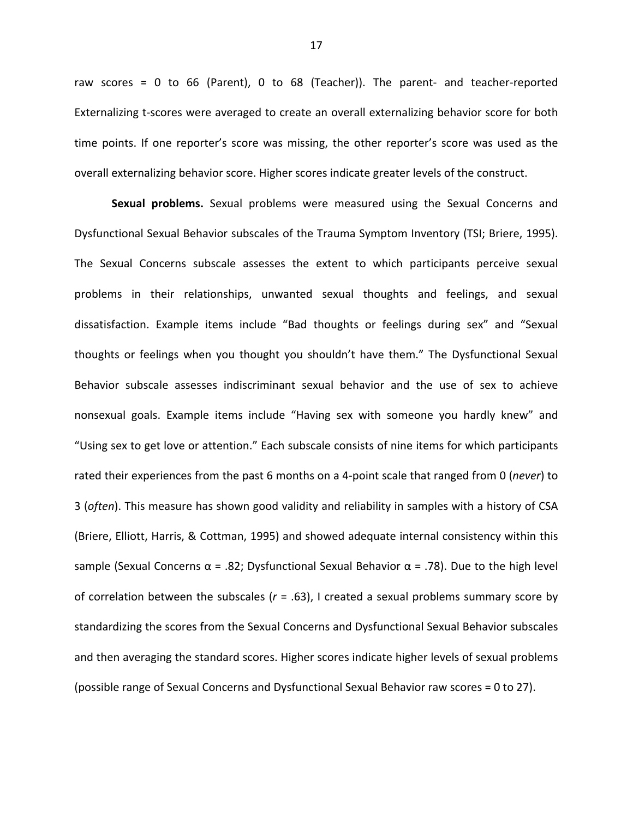raw scores =  $0$  to 66 (Parent),  $0$  to 68 (Teacher)). The parent- and teacher-reported Externalizing t-scores were averaged to create an overall externalizing behavior score for both time points. If one reporter's score was missing, the other reporter's score was used as the overall externalizing behavior score. Higher scores indicate greater levels of the construct.

Sexual problems. Sexual problems were measured using the Sexual Concerns and Dysfunctional Sexual Behavior subscales of the Trauma Symptom Inventory (TSI; Briere, 1995). The Sexual Concerns subscale assesses the extent to which participants perceive sexual problems in their relationships, unwanted sexual thoughts and feelings, and sexual dissatisfaction. Example items include "Bad thoughts or feelings during sex" and "Sexual thoughts or feelings when you thought you shouldn't have them." The Dysfunctional Sexual Behavior subscale assesses indiscriminant sexual behavior and the use of sex to achieve nonsexual goals. Example items include "Having sex with someone you hardly knew" and "Using sex to get love or attention." Each subscale consists of nine items for which participants rated their experiences from the past 6 months on a 4-point scale that ranged from 0 (never) to 3 (often). This measure has shown good validity and reliability in samples with a history of CSA (Briere, Elliott, Harris, & Cottman, 1995) and showed adequate internal consistency within this sample (Sexual Concerns  $\alpha$  = .82; Dysfunctional Sexual Behavior  $\alpha$  = .78). Due to the high level of correlation between the subscales ( $r = .63$ ), I created a sexual problems summary score by standardizing the scores from the Sexual Concerns and Dysfunctional Sexual Behavior subscales and then averaging the standard scores. Higher scores indicate higher levels of sexual problems (possible range of Sexual Concerns and Dysfunctional Sexual Behavior raw scores = 0 to 27).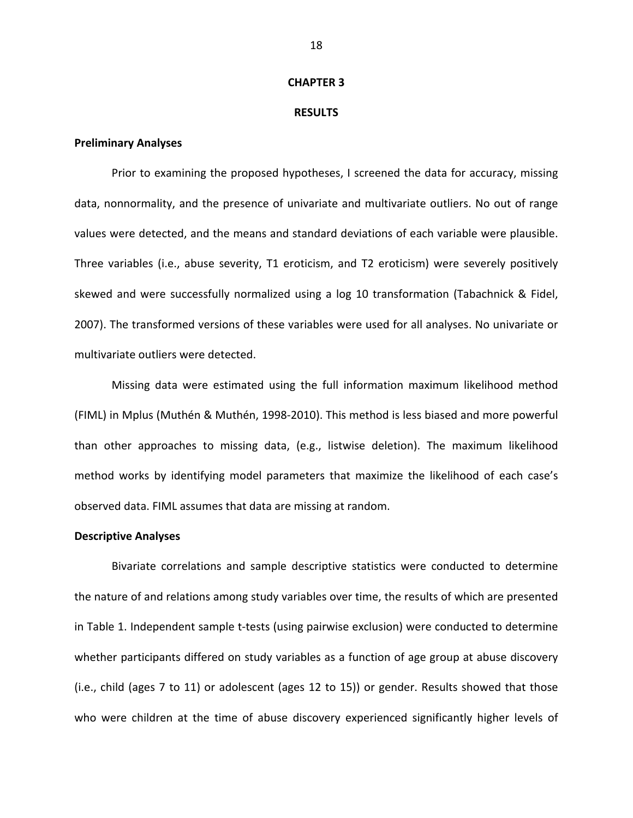#### **CHAPTER 3**

#### **RESULTS**

## **Preliminary Analyses**

Prior to examining the proposed hypotheses, I screened the data for accuracy, missing data, nonnormality, and the presence of univariate and multivariate outliers. No out of range values were detected, and the means and standard deviations of each variable were plausible. Three variables (i.e., abuse severity, T1 eroticism, and T2 eroticism) were severely positively skewed and were successfully normalized using a log 10 transformation (Tabachnick & Fidel, 2007). The transformed versions of these variables were used for all analyses. No univariate or multivariate outliers were detected.

Missing data were estimated using the full information maximum likelihood method (FIML) in Mplus (Muthén & Muthén, 1998-2010). This method is less biased and more powerful than other approaches to missing data, (e.g., listwise deletion). The maximum likelihood method works by identifying model parameters that maximize the likelihood of each case's observed data. FIML assumes that data are missing at random.

## **Descriptive Analyses**

Bivariate correlations and sample descriptive statistics were conducted to determine the nature of and relations among study variables over time, the results of which are presented in Table 1. Independent sample t-tests (using pairwise exclusion) were conducted to determine whether participants differed on study variables as a function of age group at abuse discovery (i.e., child (ages 7 to 11) or adolescent (ages 12 to 15)) or gender. Results showed that those who were children at the time of abuse discovery experienced significantly higher levels of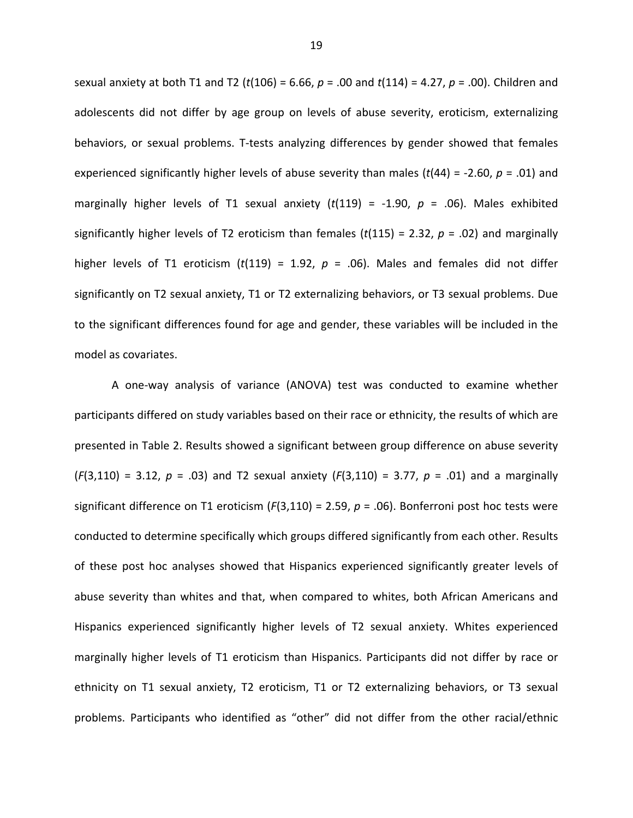sexual anxiety at both T1 and T2 ( $t(106) = 6.66$ ,  $p = .00$  and  $t(114) = 4.27$ ,  $p = .00$ ). Children and adolescents did not differ by age group on levels of abuse severity, eroticism, externalizing behaviors, or sexual problems. T-tests analyzing differences by gender showed that females experienced significantly higher levels of abuse severity than males ( $t$ (44) = -2.60,  $p$  = .01) and marginally higher levels of T1 sexual anxiety ( $t(119)$  = -1.90,  $p$  = .06). Males exhibited significantly higher levels of T2 eroticism than females ( $t(115) = 2.32$ ,  $p = .02$ ) and marginally higher levels of T1 eroticism (t(119) = 1.92,  $p = .06$ ). Males and females did not differ significantly on T2 sexual anxiety, T1 or T2 externalizing behaviors, or T3 sexual problems. Due to the significant differences found for age and gender, these variables will be included in the model as covariates.

A one-way analysis of variance (ANOVA) test was conducted to examine whether participants differed on study variables based on their race or ethnicity, the results of which are presented in Table 2. Results showed a significant between group difference on abuse severity  $(F(3,110) = 3.12, p = .03)$  and T2 sexual anxiety  $(F(3,110) = 3.77, p = .01)$  and a marginally significant difference on T1 eroticism ( $F(3,110) = 2.59$ ,  $p = .06$ ). Bonferroni post hoc tests were conducted to determine specifically which groups differed significantly from each other. Results of these post hoc analyses showed that Hispanics experienced significantly greater levels of abuse severity than whites and that, when compared to whites, both African Americans and Hispanics experienced significantly higher levels of T2 sexual anxiety. Whites experienced marginally higher levels of T1 eroticism than Hispanics. Participants did not differ by race or ethnicity on T1 sexual anxiety, T2 eroticism, T1 or T2 externalizing behaviors, or T3 sexual problems. Participants who identified as "other" did not differ from the other racial/ethnic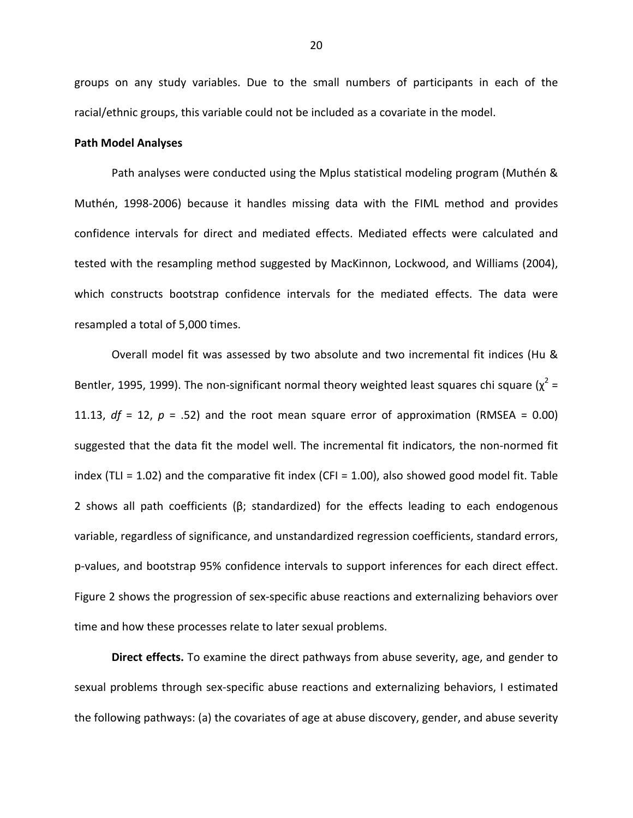groups on any study variables. Due to the small numbers of participants in each of the racial/ethnic groups, this variable could not be included as a covariate in the model.

## **Path Model Analyses**

Path analyses were conducted using the Mplus statistical modeling program (Muthén & Muthén, 1998-2006) because it handles missing data with the FIML method and provides confidence intervals for direct and mediated effects. Mediated effects were calculated and tested with the resampling method suggested by MacKinnon, Lockwood, and Williams (2004), which constructs bootstrap confidence intervals for the mediated effects. The data were resampled a total of 5,000 times.

Overall model fit was assessed by two absolute and two incremental fit indices (Hu & Bentler, 1995, 1999). The non-significant normal theory weighted least squares chi square ( $\chi^2$  = 11.13,  $df = 12$ ,  $p = .52$ ) and the root mean square error of approximation (RMSEA = 0.00) suggested that the data fit the model well. The incremental fit indicators, the non-normed fit index (TLI = 1.02) and the comparative fit index (CFI = 1.00), also showed good model fit. Table 2 shows all path coefficients ( $\beta$ ; standardized) for the effects leading to each endogenous variable, regardless of significance, and unstandardized regression coefficients, standard errors, p-values, and bootstrap 95% confidence intervals to support inferences for each direct effect. Figure 2 shows the progression of sex-specific abuse reactions and externalizing behaviors over time and how these processes relate to later sexual problems.

Direct effects. To examine the direct pathways from abuse severity, age, and gender to sexual problems through sex-specific abuse reactions and externalizing behaviors, I estimated the following pathways: (a) the covariates of age at abuse discovery, gender, and abuse severity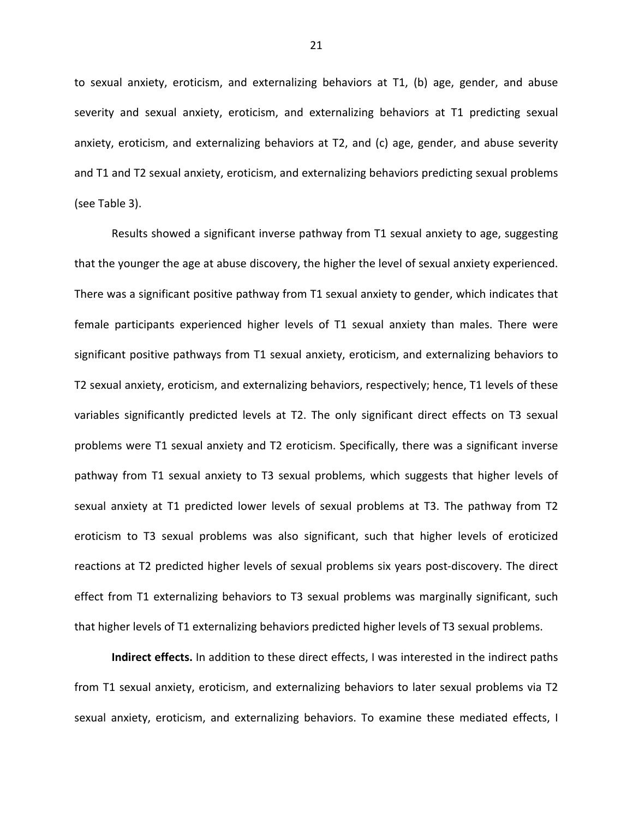to sexual anxiety, eroticism, and externalizing behaviors at T1, (b) age, gender, and abuse severity and sexual anxiety, eroticism, and externalizing behaviors at T1 predicting sexual anxiety, eroticism, and externalizing behaviors at T2, and (c) age, gender, and abuse severity and T1 and T2 sexual anxiety, eroticism, and externalizing behaviors predicting sexual problems (see Table 3).

Results showed a significant inverse pathway from T1 sexual anxiety to age, suggesting that the younger the age at abuse discovery, the higher the level of sexual anxiety experienced. There was a significant positive pathway from T1 sexual anxiety to gender, which indicates that female participants experienced higher levels of T1 sexual anxiety than males. There were significant positive pathways from T1 sexual anxiety, eroticism, and externalizing behaviors to T2 sexual anxiety, eroticism, and externalizing behaviors, respectively; hence, T1 levels of these variables significantly predicted levels at T2. The only significant direct effects on T3 sexual problems were T1 sexual anxiety and T2 eroticism. Specifically, there was a significant inverse pathway from T1 sexual anxiety to T3 sexual problems, which suggests that higher levels of sexual anxiety at T1 predicted lower levels of sexual problems at T3. The pathway from T2 eroticism to T3 sexual problems was also significant, such that higher levels of eroticized reactions at T2 predicted higher levels of sexual problems six years post-discovery. The direct effect from T1 externalizing behaviors to T3 sexual problems was marginally significant, such that higher levels of T1 externalizing behaviors predicted higher levels of T3 sexual problems.

Indirect effects. In addition to these direct effects, I was interested in the indirect paths from T1 sexual anxiety, eroticism, and externalizing behaviors to later sexual problems via T2 sexual anxiety, eroticism, and externalizing behaviors. To examine these mediated effects, I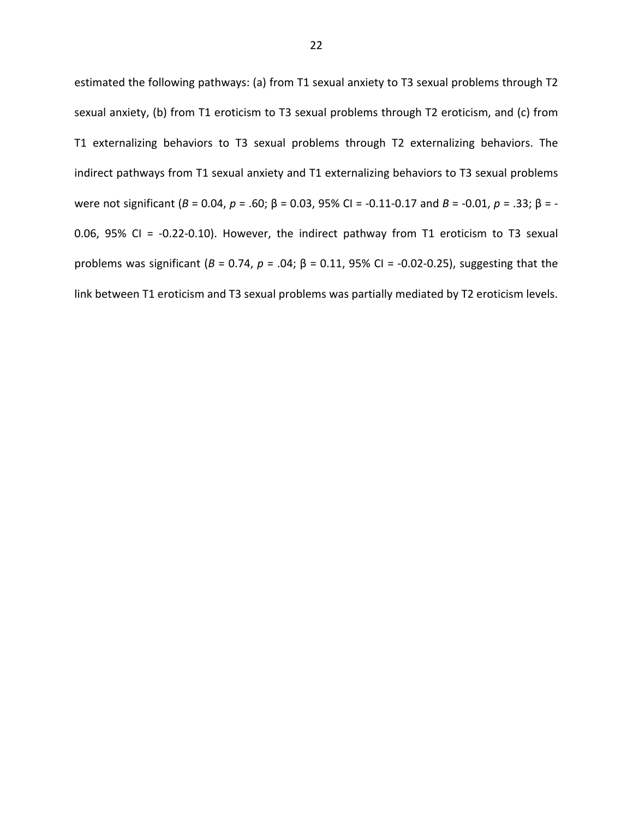estimated the following pathways: (a) from T1 sexual anxiety to T3 sexual problems through T2 sexual anxiety, (b) from T1 eroticism to T3 sexual problems through T2 eroticism, and (c) from T1 externalizing behaviors to T3 sexual problems through T2 externalizing behaviors. The indirect pathways from T1 sexual anxiety and T1 externalizing behaviors to T3 sexual problems were not significant (B = 0.04, p = .60; β = 0.03, 95% CI = -0.11-0.17 and B = -0.01, p = .33; β = -0.06, 95% CI = -0.22-0.10). However, the indirect pathway from T1 eroticism to T3 sexual problems was significant ( $B = 0.74$ ,  $p = .04$ ;  $\beta = 0.11$ , 95% CI = -0.02-0.25), suggesting that the link between T1 eroticism and T3 sexual problems was partially mediated by T2 eroticism levels.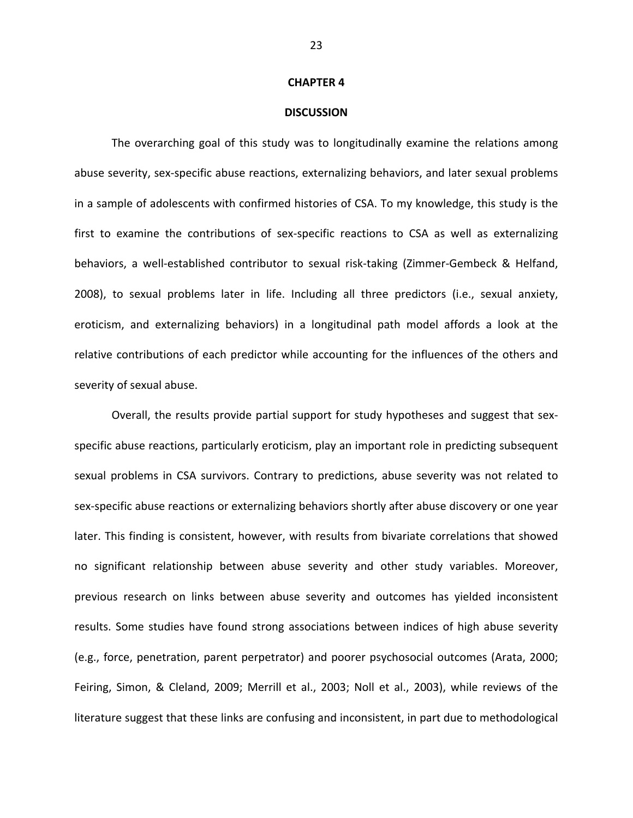#### **CHAPTER 4**

#### **DISCUSSION**

The overarching goal of this study was to longitudinally examine the relations among abuse severity, sex-specific abuse reactions, externalizing behaviors, and later sexual problems in a sample of adolescents with confirmed histories of CSA. To my knowledge, this study is the first to examine the contributions of sex-specific reactions to CSA as well as externalizing behaviors, a well-established contributor to sexual risk-taking (Zimmer-Gembeck & Helfand, 2008), to sexual problems later in life. Including all three predictors (i.e., sexual anxiety, eroticism, and externalizing behaviors) in a longitudinal path model affords a look at the relative contributions of each predictor while accounting for the influences of the others and severity of sexual abuse.

Overall, the results provide partial support for study hypotheses and suggest that sexspecific abuse reactions, particularly eroticism, play an important role in predicting subsequent sexual problems in CSA survivors. Contrary to predictions, abuse severity was not related to sex-specific abuse reactions or externalizing behaviors shortly after abuse discovery or one year later. This finding is consistent, however, with results from bivariate correlations that showed no significant relationship between abuse severity and other study variables. Moreover, previous research on links between abuse severity and outcomes has yielded inconsistent results. Some studies have found strong associations between indices of high abuse severity (e.g., force, penetration, parent perpetrator) and poorer psychosocial outcomes (Arata, 2000; Feiring, Simon, & Cleland, 2009; Merrill et al., 2003; Noll et al., 2003), while reviews of the literature suggest that these links are confusing and inconsistent, in part due to methodological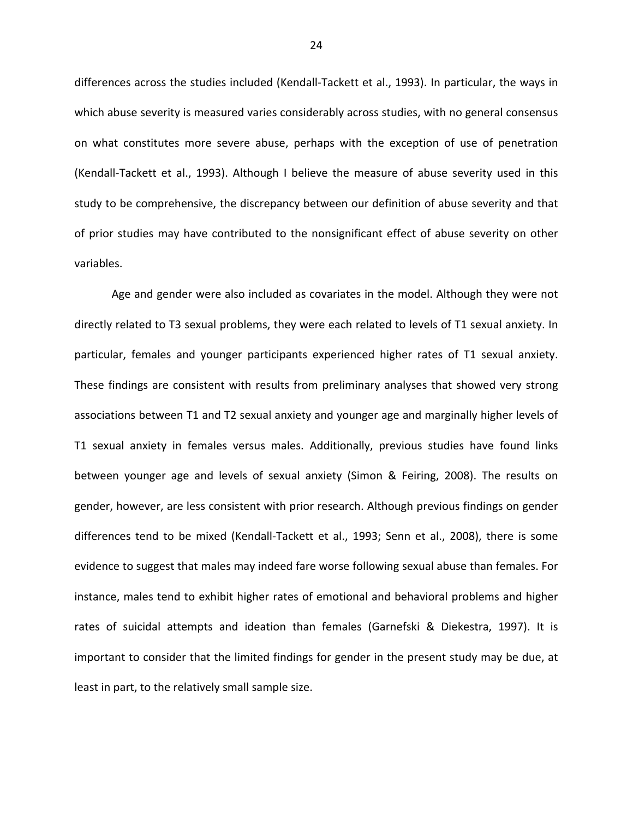differences across the studies included (Kendall-Tackett et al., 1993). In particular, the ways in which abuse severity is measured varies considerably across studies, with no general consensus on what constitutes more severe abuse, perhaps with the exception of use of penetration (Kendall-Tackett et al., 1993). Although I believe the measure of abuse severity used in this study to be comprehensive, the discrepancy between our definition of abuse severity and that of prior studies may have contributed to the nonsignificant effect of abuse severity on other variables.

Age and gender were also included as covariates in the model. Although they were not directly related to T3 sexual problems, they were each related to levels of T1 sexual anxiety. In particular, females and younger participants experienced higher rates of T1 sexual anxiety. These findings are consistent with results from preliminary analyses that showed very strong associations between T1 and T2 sexual anxiety and younger age and marginally higher levels of T1 sexual anxiety in females versus males. Additionally, previous studies have found links between younger age and levels of sexual anxiety (Simon & Feiring, 2008). The results on gender, however, are less consistent with prior research. Although previous findings on gender differences tend to be mixed (Kendall-Tackett et al., 1993; Senn et al., 2008), there is some evidence to suggest that males may indeed fare worse following sexual abuse than females. For instance, males tend to exhibit higher rates of emotional and behavioral problems and higher rates of suicidal attempts and ideation than females (Garnefski & Diekestra, 1997). It is important to consider that the limited findings for gender in the present study may be due, at least in part, to the relatively small sample size.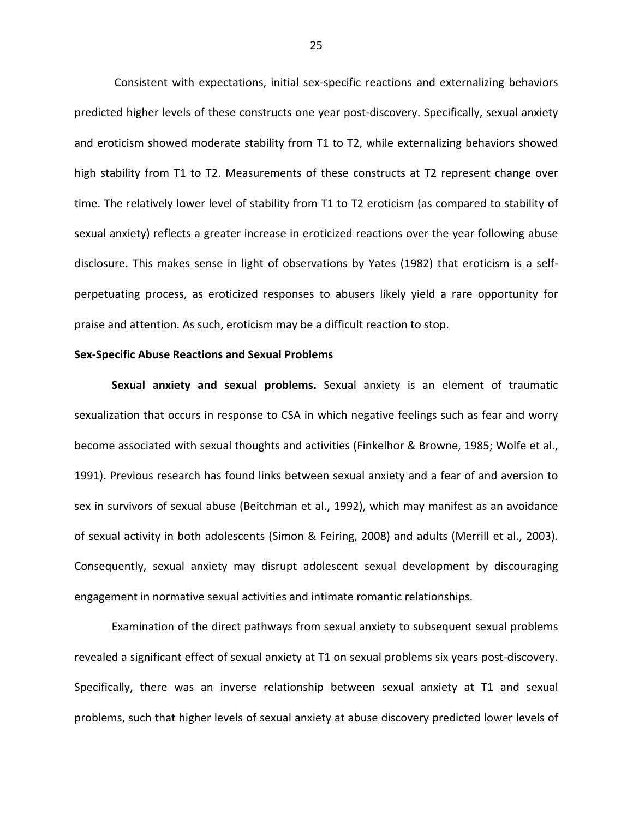Consistent with expectations, initial sex-specific reactions and externalizing behaviors predicted higher levels of these constructs one year post-discovery. Specifically, sexual anxiety and eroticism showed moderate stability from T1 to T2, while externalizing behaviors showed high stability from T1 to T2. Measurements of these constructs at T2 represent change over time. The relatively lower level of stability from T1 to T2 eroticism (as compared to stability of sexual anxiety) reflects a greater increase in eroticized reactions over the year following abuse disclosure. This makes sense in light of observations by Yates (1982) that eroticism is a selfperpetuating process, as eroticized responses to abusers likely yield a rare opportunity for praise and attention. As such, eroticism may be a difficult reaction to stop.

## **Sex-Specific Abuse Reactions and Sexual Problems**

Sexual anxiety and sexual problems. Sexual anxiety is an element of traumatic sexualization that occurs in response to CSA in which negative feelings such as fear and worry become associated with sexual thoughts and activities (Finkelhor & Browne, 1985; Wolfe et al., 1991). Previous research has found links between sexual anxiety and a fear of and aversion to sex in survivors of sexual abuse (Beitchman et al., 1992), which may manifest as an avoidance of sexual activity in both adolescents (Simon & Feiring, 2008) and adults (Merrill et al., 2003). Consequently, sexual anxiety may disrupt adolescent sexual development by discouraging engagement in normative sexual activities and intimate romantic relationships.

Examination of the direct pathways from sexual anxiety to subsequent sexual problems revealed a significant effect of sexual anxiety at T1 on sexual problems six years post-discovery. Specifically, there was an inverse relationship between sexual anxiety at T1 and sexual problems, such that higher levels of sexual anxiety at abuse discovery predicted lower levels of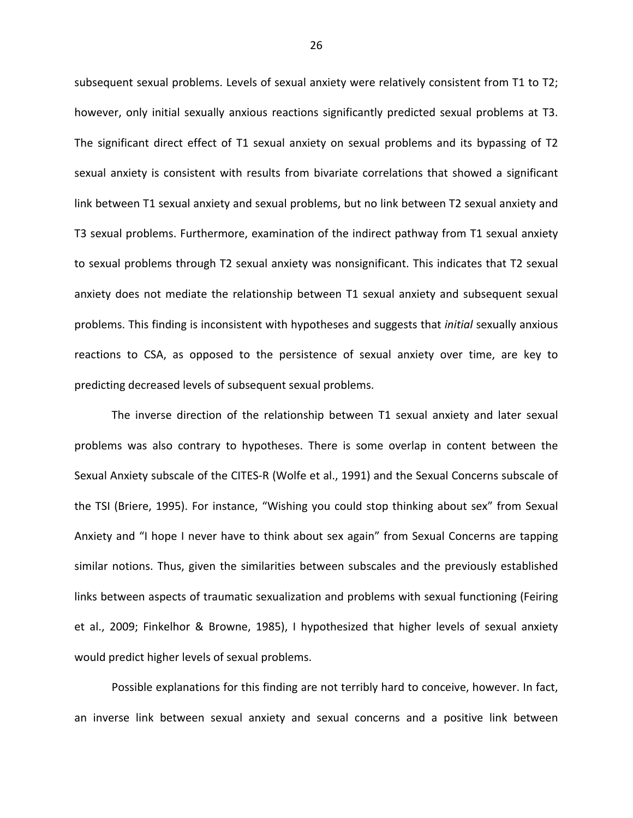subsequent sexual problems. Levels of sexual anxiety were relatively consistent from T1 to T2; however, only initial sexually anxious reactions significantly predicted sexual problems at T3. The significant direct effect of T1 sexual anxiety on sexual problems and its bypassing of T2 sexual anxiety is consistent with results from bivariate correlations that showed a significant link between T1 sexual anxiety and sexual problems, but no link between T2 sexual anxiety and T3 sexual problems. Furthermore, examination of the indirect pathway from T1 sexual anxiety to sexual problems through T2 sexual anxiety was nonsignificant. This indicates that T2 sexual anxiety does not mediate the relationship between T1 sexual anxiety and subsequent sexual problems. This finding is inconsistent with hypotheses and suggests that *initial* sexually anxious reactions to CSA, as opposed to the persistence of sexual anxiety over time, are key to predicting decreased levels of subsequent sexual problems.

The inverse direction of the relationship between T1 sexual anxiety and later sexual problems was also contrary to hypotheses. There is some overlap in content between the Sexual Anxiety subscale of the CITES-R (Wolfe et al., 1991) and the Sexual Concerns subscale of the TSI (Briere, 1995). For instance, "Wishing you could stop thinking about sex" from Sexual Anxiety and "I hope I never have to think about sex again" from Sexual Concerns are tapping similar notions. Thus, given the similarities between subscales and the previously established links between aspects of traumatic sexualization and problems with sexual functioning (Feiring et al., 2009; Finkelhor & Browne, 1985), I hypothesized that higher levels of sexual anxiety would predict higher levels of sexual problems.

Possible explanations for this finding are not terribly hard to conceive, however. In fact, an inverse link between sexual anxiety and sexual concerns and a positive link between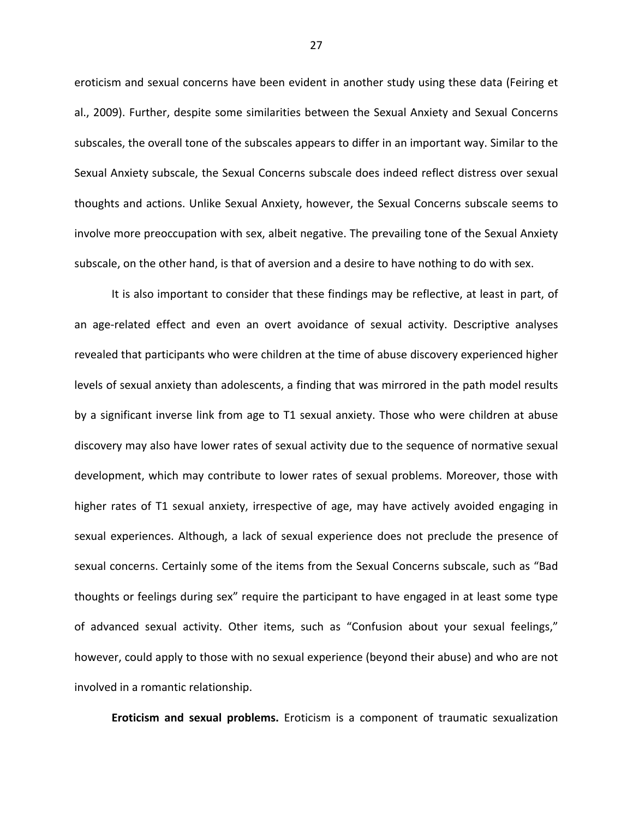eroticism and sexual concerns have been evident in another study using these data (Feiring et al., 2009). Further, despite some similarities between the Sexual Anxiety and Sexual Concerns subscales, the overall tone of the subscales appears to differ in an important way. Similar to the Sexual Anxiety subscale, the Sexual Concerns subscale does indeed reflect distress over sexual thoughts and actions. Unlike Sexual Anxiety, however, the Sexual Concerns subscale seems to involve more preoccupation with sex, albeit negative. The prevailing tone of the Sexual Anxiety subscale, on the other hand, is that of aversion and a desire to have nothing to do with sex.

It is also important to consider that these findings may be reflective, at least in part, of an age-related effect and even an overt avoidance of sexual activity. Descriptive analyses revealed that participants who were children at the time of abuse discovery experienced higher levels of sexual anxiety than adolescents, a finding that was mirrored in the path model results by a significant inverse link from age to T1 sexual anxiety. Those who were children at abuse discovery may also have lower rates of sexual activity due to the sequence of normative sexual development, which may contribute to lower rates of sexual problems. Moreover, those with higher rates of T1 sexual anxiety, irrespective of age, may have actively avoided engaging in sexual experiences. Although, a lack of sexual experience does not preclude the presence of sexual concerns. Certainly some of the items from the Sexual Concerns subscale, such as "Bad thoughts or feelings during sex" require the participant to have engaged in at least some type of advanced sexual activity. Other items, such as "Confusion about your sexual feelings," however, could apply to those with no sexual experience (beyond their abuse) and who are not involved in a romantic relationship.

Eroticism and sexual problems. Eroticism is a component of traumatic sexualization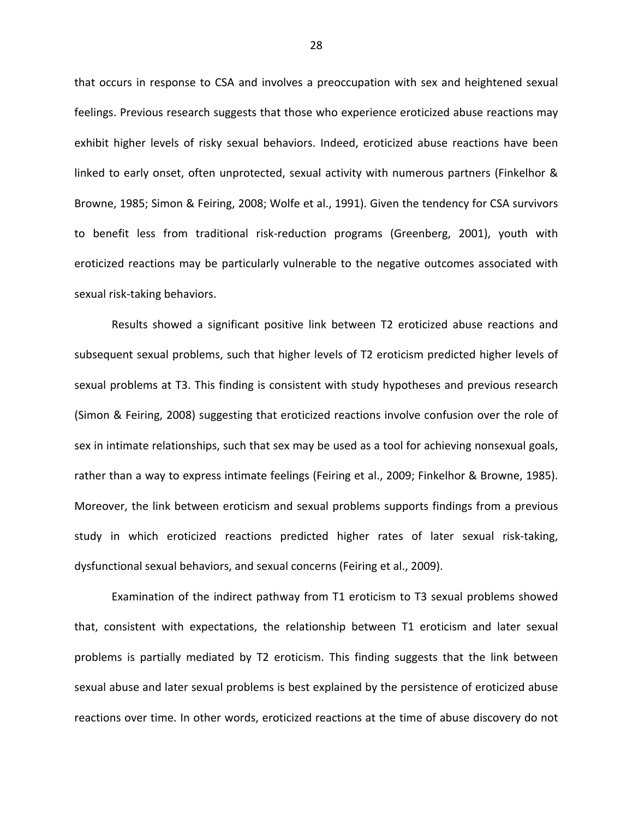that occurs in response to CSA and involves a preoccupation with sex and heightened sexual feelings. Previous research suggests that those who experience eroticized abuse reactions may exhibit higher levels of risky sexual behaviors. Indeed, eroticized abuse reactions have been linked to early onset, often unprotected, sexual activity with numerous partners (Finkelhor & Browne, 1985; Simon & Feiring, 2008; Wolfe et al., 1991). Given the tendency for CSA survivors to benefit less from traditional risk-reduction programs (Greenberg, 2001), youth with eroticized reactions may be particularly vulnerable to the negative outcomes associated with sexual risk-taking behaviors.

Results showed a significant positive link between T2 eroticized abuse reactions and subsequent sexual problems, such that higher levels of T2 eroticism predicted higher levels of sexual problems at T3. This finding is consistent with study hypotheses and previous research (Simon & Feiring, 2008) suggesting that eroticized reactions involve confusion over the role of sex in intimate relationships, such that sex may be used as a tool for achieving nonsexual goals, rather than a way to express intimate feelings (Feiring et al., 2009; Finkelhor & Browne, 1985). Moreover, the link between eroticism and sexual problems supports findings from a previous study in which eroticized reactions predicted higher rates of later sexual risk-taking, dysfunctional sexual behaviors, and sexual concerns (Feiring et al., 2009).

Examination of the indirect pathway from T1 eroticism to T3 sexual problems showed that, consistent with expectations, the relationship between T1 eroticism and later sexual problems is partially mediated by T2 eroticism. This finding suggests that the link between sexual abuse and later sexual problems is best explained by the persistence of eroticized abuse reactions over time. In other words, eroticized reactions at the time of abuse discovery do not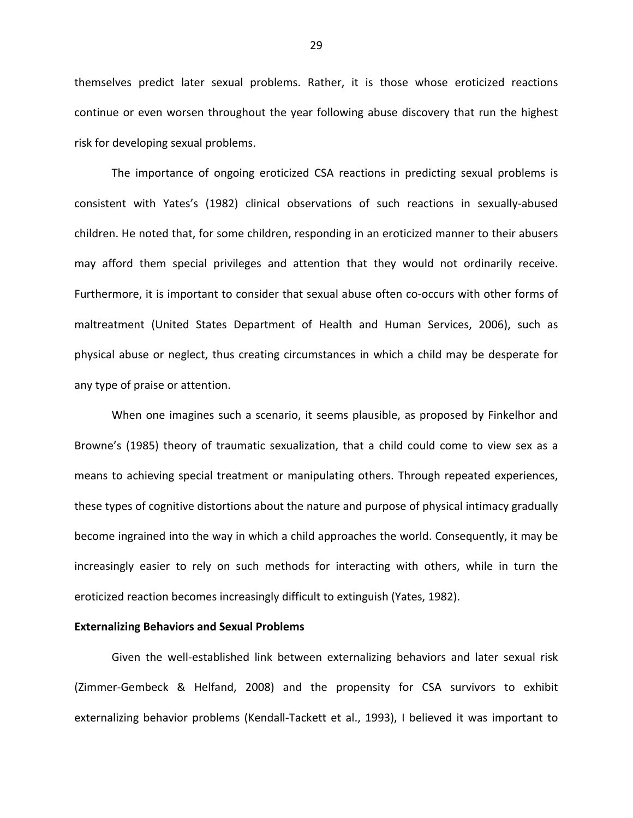themselves predict later sexual problems. Rather, it is those whose eroticized reactions continue or even worsen throughout the year following abuse discovery that run the highest risk for developing sexual problems.

The importance of ongoing eroticized CSA reactions in predicting sexual problems is consistent with Yates's (1982) clinical observations of such reactions in sexually-abused children. He noted that, for some children, responding in an eroticized manner to their abusers may afford them special privileges and attention that they would not ordinarily receive. Furthermore, it is important to consider that sexual abuse often co-occurs with other forms of maltreatment (United States Department of Health and Human Services, 2006), such as physical abuse or neglect, thus creating circumstances in which a child may be desperate for any type of praise or attention.

When one imagines such a scenario, it seems plausible, as proposed by Finkelhor and Browne's (1985) theory of traumatic sexualization, that a child could come to view sex as a means to achieving special treatment or manipulating others. Through repeated experiences, these types of cognitive distortions about the nature and purpose of physical intimacy gradually become ingrained into the way in which a child approaches the world. Consequently, it may be increasingly easier to rely on such methods for interacting with others, while in turn the eroticized reaction becomes increasingly difficult to extinguish (Yates, 1982).

#### **Externalizing Behaviors and Sexual Problems**

Given the well-established link between externalizing behaviors and later sexual risk (Zimmer-Gembeck & Helfand, 2008) and the propensity for CSA survivors to exhibit externalizing behavior problems (Kendall-Tackett et al., 1993), I believed it was important to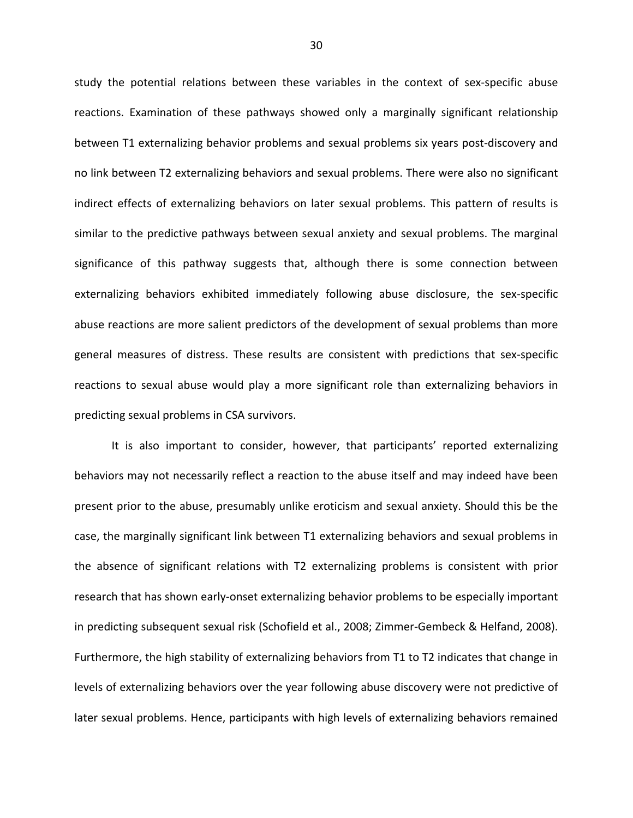study the potential relations between these variables in the context of sex-specific abuse reactions. Examination of these pathways showed only a marginally significant relationship between T1 externalizing behavior problems and sexual problems six years post-discovery and no link between T2 externalizing behaviors and sexual problems. There were also no significant indirect effects of externalizing behaviors on later sexual problems. This pattern of results is similar to the predictive pathways between sexual anxiety and sexual problems. The marginal significance of this pathway suggests that, although there is some connection between externalizing behaviors exhibited immediately following abuse disclosure, the sex-specific abuse reactions are more salient predictors of the development of sexual problems than more general measures of distress. These results are consistent with predictions that sex-specific reactions to sexual abuse would play a more significant role than externalizing behaviors in predicting sexual problems in CSA survivors.

It is also important to consider, however, that participants' reported externalizing behaviors may not necessarily reflect a reaction to the abuse itself and may indeed have been present prior to the abuse, presumably unlike eroticism and sexual anxiety. Should this be the case, the marginally significant link between T1 externalizing behaviors and sexual problems in the absence of significant relations with T2 externalizing problems is consistent with prior research that has shown early-onset externalizing behavior problems to be especially important in predicting subsequent sexual risk (Schofield et al., 2008; Zimmer-Gembeck & Helfand, 2008). Furthermore, the high stability of externalizing behaviors from T1 to T2 indicates that change in levels of externalizing behaviors over the year following abuse discovery were not predictive of later sexual problems. Hence, participants with high levels of externalizing behaviors remained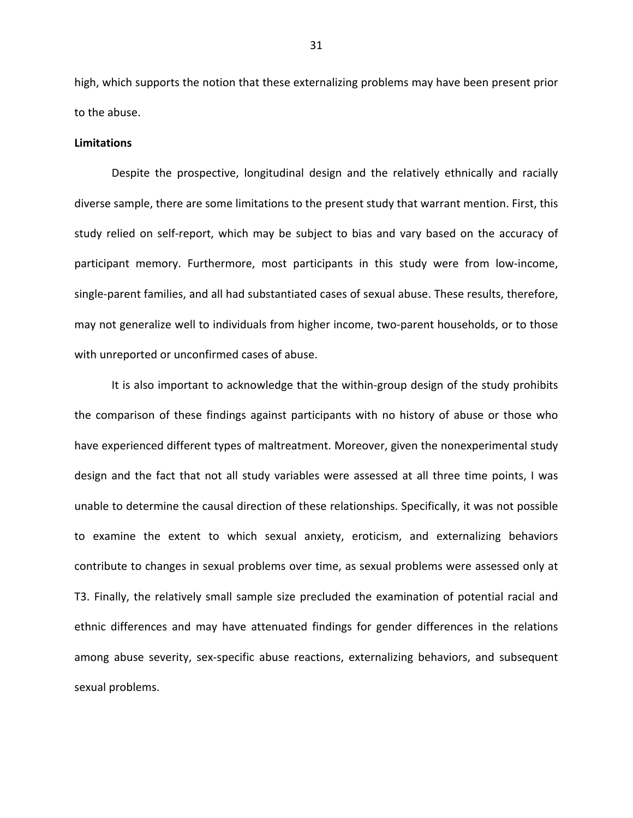high, which supports the notion that these externalizing problems may have been present prior to the abuse.

## **Limitations**

Despite the prospective, longitudinal design and the relatively ethnically and racially diverse sample, there are some limitations to the present study that warrant mention. First, this study relied on self-report, which may be subject to bias and vary based on the accuracy of participant memory. Furthermore, most participants in this study were from low-income, single-parent families, and all had substantiated cases of sexual abuse. These results, therefore, may not generalize well to individuals from higher income, two-parent households, or to those with unreported or unconfirmed cases of abuse.

It is also important to acknowledge that the within-group design of the study prohibits the comparison of these findings against participants with no history of abuse or those who have experienced different types of maltreatment. Moreover, given the nonexperimental study design and the fact that not all study variables were assessed at all three time points, I was unable to determine the causal direction of these relationships. Specifically, it was not possible to examine the extent to which sexual anxiety, eroticism, and externalizing behaviors contribute to changes in sexual problems over time, as sexual problems were assessed only at T3. Finally, the relatively small sample size precluded the examination of potential racial and ethnic differences and may have attenuated findings for gender differences in the relations among abuse severity, sex-specific abuse reactions, externalizing behaviors, and subsequent sexual problems.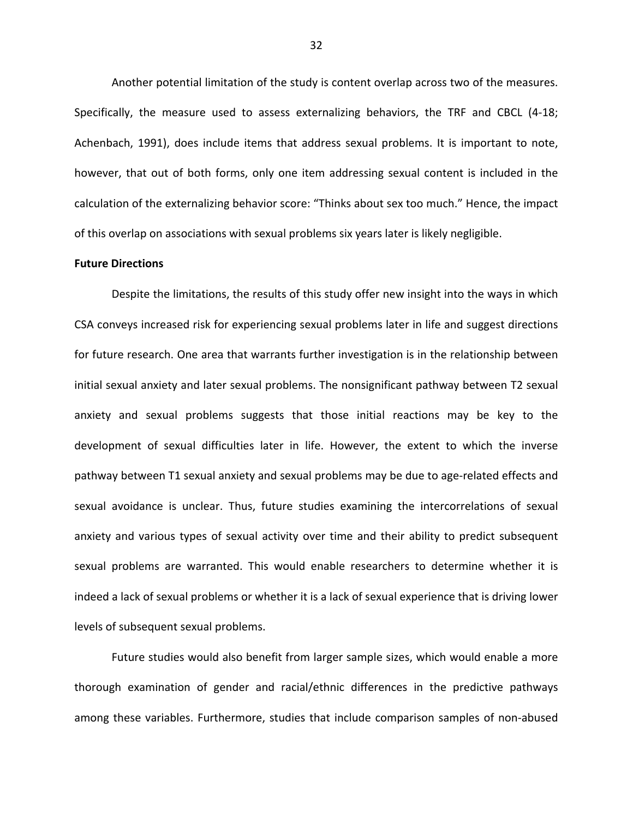Another potential limitation of the study is content overlap across two of the measures. Specifically, the measure used to assess externalizing behaviors, the TRF and CBCL (4-18; Achenbach, 1991), does include items that address sexual problems. It is important to note, however, that out of both forms, only one item addressing sexual content is included in the calculation of the externalizing behavior score: "Thinks about sex too much." Hence, the impact of this overlap on associations with sexual problems six years later is likely negligible.

## **Future Directions**

Despite the limitations, the results of this study offer new insight into the ways in which CSA conveys increased risk for experiencing sexual problems later in life and suggest directions for future research. One area that warrants further investigation is in the relationship between initial sexual anxiety and later sexual problems. The nonsignificant pathway between T2 sexual anxiety and sexual problems suggests that those initial reactions may be key to the development of sexual difficulties later in life. However, the extent to which the inverse pathway between T1 sexual anxiety and sexual problems may be due to age-related effects and sexual avoidance is unclear. Thus, future studies examining the intercorrelations of sexual anxiety and various types of sexual activity over time and their ability to predict subsequent sexual problems are warranted. This would enable researchers to determine whether it is indeed a lack of sexual problems or whether it is a lack of sexual experience that is driving lower levels of subsequent sexual problems.

Future studies would also benefit from larger sample sizes, which would enable a more thorough examination of gender and racial/ethnic differences in the predictive pathways among these variables. Furthermore, studies that include comparison samples of non-abused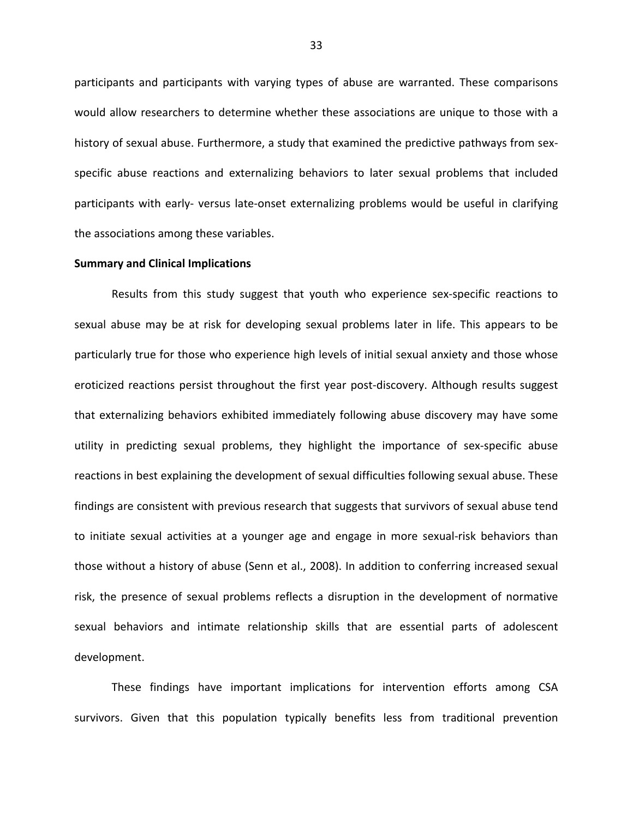participants and participants with varying types of abuse are warranted. These comparisons would allow researchers to determine whether these associations are unique to those with a history of sexual abuse. Furthermore, a study that examined the predictive pathways from sexspecific abuse reactions and externalizing behaviors to later sexual problems that included participants with early- versus late-onset externalizing problems would be useful in clarifying the associations among these variables.

#### **Summary and Clinical Implications**

Results from this study suggest that youth who experience sex-specific reactions to sexual abuse may be at risk for developing sexual problems later in life. This appears to be particularly true for those who experience high levels of initial sexual anxiety and those whose eroticized reactions persist throughout the first year post-discovery. Although results suggest that externalizing behaviors exhibited immediately following abuse discovery may have some utility in predicting sexual problems, they highlight the importance of sex-specific abuse reactions in best explaining the development of sexual difficulties following sexual abuse. These findings are consistent with previous research that suggests that survivors of sexual abuse tend to initiate sexual activities at a younger age and engage in more sexual-risk behaviors than those without a history of abuse (Senn et al., 2008). In addition to conferring increased sexual risk, the presence of sexual problems reflects a disruption in the development of normative sexual behaviors and intimate relationship skills that are essential parts of adolescent development.

These findings have important implications for intervention efforts among CSA survivors. Given that this population typically benefits less from traditional prevention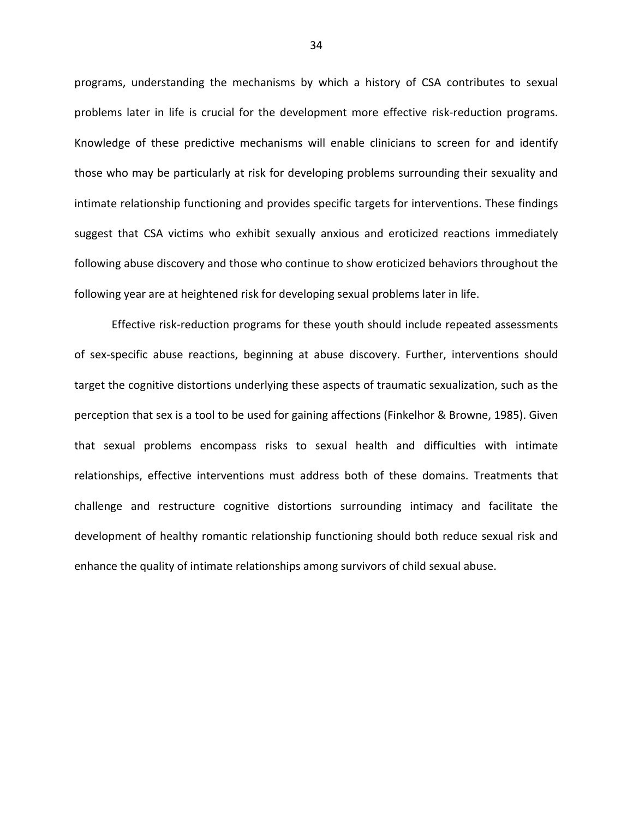programs, understanding the mechanisms by which a history of CSA contributes to sexual problems later in life is crucial for the development more effective risk-reduction programs. Knowledge of these predictive mechanisms will enable clinicians to screen for and identify those who may be particularly at risk for developing problems surrounding their sexuality and intimate relationship functioning and provides specific targets for interventions. These findings suggest that CSA victims who exhibit sexually anxious and eroticized reactions immediately following abuse discovery and those who continue to show eroticized behaviors throughout the following year are at heightened risk for developing sexual problems later in life.

Effective risk-reduction programs for these youth should include repeated assessments of sex-specific abuse reactions, beginning at abuse discovery. Further, interventions should target the cognitive distortions underlying these aspects of traumatic sexualization, such as the perception that sex is a tool to be used for gaining affections (Finkelhor & Browne, 1985). Given that sexual problems encompass risks to sexual health and difficulties with intimate relationships, effective interventions must address both of these domains. Treatments that challenge and restructure cognitive distortions surrounding intimacy and facilitate the development of healthy romantic relationship functioning should both reduce sexual risk and enhance the quality of intimate relationships among survivors of child sexual abuse.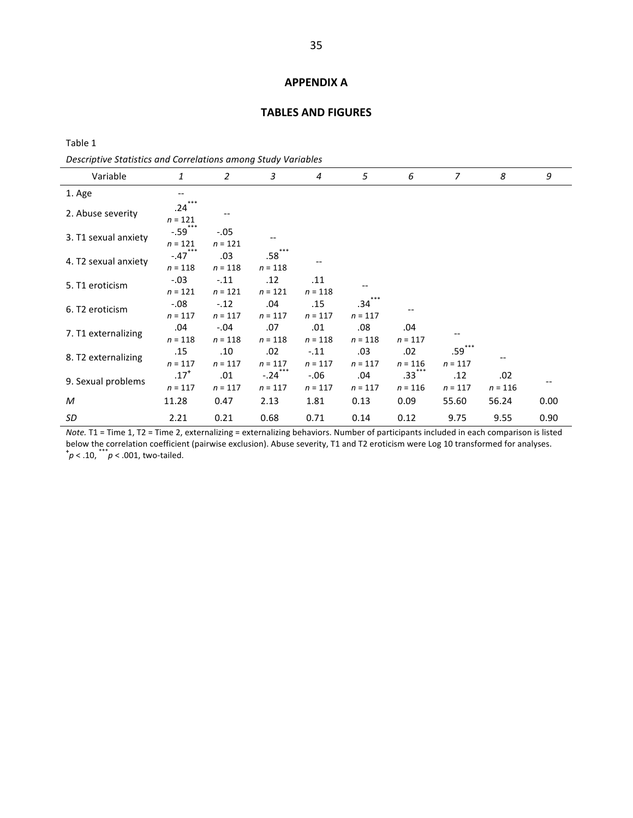#### **APPENDIX A**

#### **TABLES AND FIGURES**

Table 1

l,

Descriptive Statistics and Correlations among Study Variables

| Variable             | 1                               | $\overline{2}$      | 3                     | 4                    | 5                | 6                             | $\overline{7}$                | 8                | 9    |
|----------------------|---------------------------------|---------------------|-----------------------|----------------------|------------------|-------------------------------|-------------------------------|------------------|------|
| 1. Age               |                                 |                     |                       |                      |                  |                               |                               |                  |      |
| 2. Abuse severity    | $***$<br>.24<br>$n = 121$       |                     |                       |                      |                  |                               |                               |                  |      |
| 3. T1 sexual anxiety | $-.59$ ***<br>$n = 121$         | $-.05$<br>$n = 121$ |                       |                      |                  |                               |                               |                  |      |
| 4. T2 sexual anxiety | $-.47$ ***<br>$n = 118$         | .03<br>$n = 118$    | $.58***$<br>$n = 118$ |                      |                  |                               |                               |                  |      |
| 5. T1 eroticism      | $-.03$<br>$n = 121$             | $-.11$<br>$n = 121$ | .12<br>$n = 121$      | .11<br>$n = 118$     |                  |                               |                               |                  |      |
| 6. T2 eroticism      | $-0.08$<br>$n = 117$            | $-.12$<br>$n = 117$ | .04<br>$n = 117$      | .15<br>$n = 117$     | .34<br>$n = 117$ |                               |                               |                  |      |
| 7. T1 externalizing  | .04<br>$n = 118$                | $-.04$<br>$n = 118$ | .07<br>$n = 118$      | .01<br>$n = 118$     | .08<br>$n = 118$ | .04<br>$n = 117$              |                               |                  |      |
| 8. T2 externalizing  | .15<br>$n = 117$                | .10<br>$n = 117$    | .02<br>$n = 117$      | $-.11$<br>$n = 117$  | .03<br>$n = 117$ | .02<br>$n = 116$              | .59 <sup>°</sup><br>$n = 117$ |                  |      |
| 9. Sexual problems   | $.17$ <sup>+</sup><br>$n = 117$ | .01<br>$n = 117$    | $-.24$<br>$n = 117$   | $-0.06$<br>$n = 117$ | .04<br>$n = 117$ | .33 <sup>2</sup><br>$n = 116$ | .12<br>$n = 117$              | .02<br>$n = 116$ |      |
| M                    | 11.28                           | 0.47                | 2.13                  | 1.81                 | 0.13             | 0.09                          | 55.60                         | 56.24            | 0.00 |
| SD                   | 2.21                            | 0.21                | 0.68                  | 0.71                 | 0.14             | 0.12                          | 9.75                          | 9.55             | 0.90 |

Note. T1 = Time 1, T2 = Time 2, externalizing = externalizing behaviors. Number of participants included in each comparison is listed below the correlation coefficient (pairwise exclusion). Abuse severity, T1 and T2 eroticism were Log 10 transformed for analyses.  $p < .10,$  \*\*\*  $p < .001$ , two-tailed.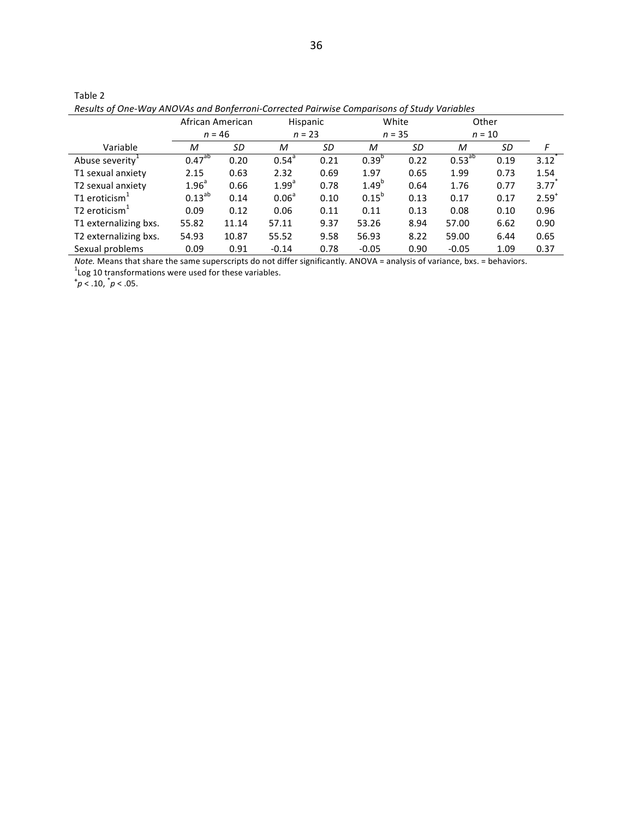| Results of One-Way ANOVAs and Bonferroni-Corrected Pairwise Comparisons of Study Variables |                   |                  |                   |          |            |             |             |          |                     |
|--------------------------------------------------------------------------------------------|-------------------|------------------|-------------------|----------|------------|-------------|-------------|----------|---------------------|
|                                                                                            |                   | African American | Hispanic          |          | White      |             | Other       |          |                     |
|                                                                                            |                   | $n = 46$         |                   | $n = 23$ |            | $n = 35$    |             | $n = 10$ |                     |
| Variable                                                                                   | М                 | SD               | М                 | SD       | M          | SD          | М           | SD       | F                   |
| Abuse severity <sup>1</sup>                                                                | $0.47^{ab}$       | 0.20             | $0.54^{a}$        | 0.21     | $0.39^{b}$ | 0.22        | $0.53^{ab}$ | 0.19     | $3.12$ <sup>*</sup> |
| T1 sexual anxiety                                                                          | 2.15              | 0.63             | 2.32              | 0.69     | 1.97       | 0.65        | 1.99        | 0.73     | 1.54                |
| T2 sexual anxiety                                                                          | 1.96 <sup>a</sup> | 0.66             | 1.99 <sup>a</sup> | 0.78     | $1.49^{b}$ | 0.64        | 1.76        | 0.77     | 3.77                |
| T1 eroticism $1$                                                                           | $0.13^{ab}$       | 0.14             | 0.06 <sup>a</sup> | 0.10     | $0.15^{b}$ | 0.13        | 0.17        | 0.17     | $2.59^{+}$          |
| T <sub>2</sub> eroticism $1$                                                               | 0.09              | 0.12             | 0.06              | 0.11     | 0.11       | 0.13        | 0.08        | 0.10     | 0.96                |
| T1 externalizing bxs.                                                                      | 55.82             | 11.14            | 57.11             | 9.37     | 53.26      | 8.94        | 57.00       | 6.62     | 0.90                |
| T2 externalizing bxs.                                                                      | 54.93             | 10.87            | 55.52             | 9.58     | 56.93      | 8.22        | 59.00       | 6.44     | 0.65                |
| Sexual problems                                                                            | በ በዓ              | 0 91             | $-0.14$           | 0.78     | $-0.05$    | <u>በ ዓበ</u> | -0.05       | 1.09     | 0.37                |

| Table 2                                                                                  |  |  |
|------------------------------------------------------------------------------------------|--|--|
| Results of One-Way ANOVAs and Bonferroni-Corrected Pairwise Comparisons of Study Variabl |  |  |

Note. Means that share the same superscripts do not differ significantly. ANOVA = analysis of variance, bxs. = behaviors.<br><sup>1</sup>Log 10 transformations were used for these variables.<br> $\uparrow p < .10$ ,  $\uparrow p < .05$ .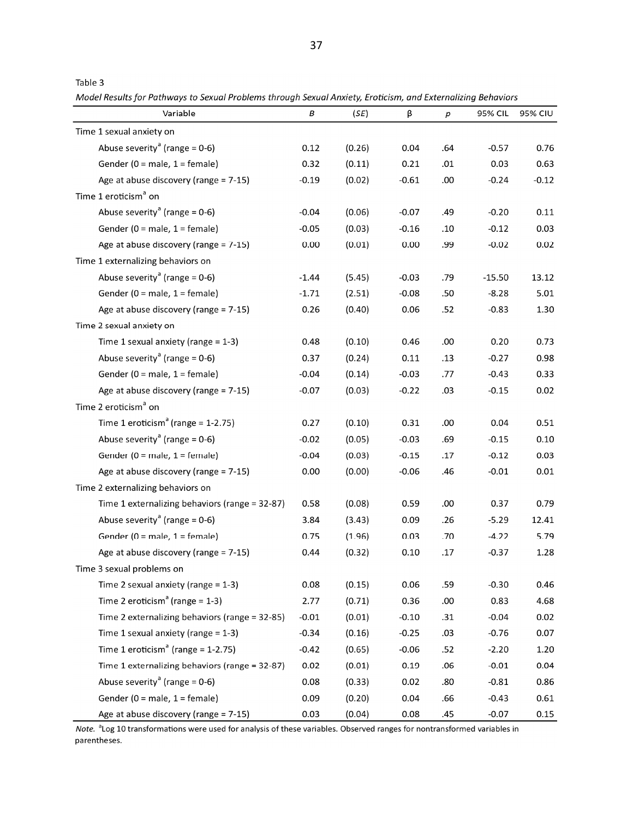| г<br>┍ |  |
|--------|--|
|--------|--|

Model Results for Pathways to Sexual Problems through Sexual Anxiety, Eroticism, and Externalizing Behaviors

| Variable                                       | В       | (SE)   | β       | $\boldsymbol{p}$ | 95% CIL  | <b>95% CIU</b> |
|------------------------------------------------|---------|--------|---------|------------------|----------|----------------|
| Time 1 sexual anxiety on                       |         |        |         |                  |          |                |
| Abuse severity <sup>a</sup> (range = $0-6$ )   | 0.12    | (0.26) | 0.04    | .64              | $-0.57$  | 0.76           |
| Gender (0 = male, $1$ = female)                | 0.32    | (0.11) | 0.21    | .01              | 0.03     | 0.63           |
| Age at abuse discovery (range = $7-15$ )       | $-0.19$ | (0.02) | $-0.61$ | .00              | $-0.24$  | $-0.12$        |
| Time 1 eroticism <sup>a</sup> on               |         |        |         |                  |          |                |
| Abuse severity <sup>a</sup> (range = $0-6$ )   | $-0.04$ | (0.06) | $-0.07$ | .49              | $-0.20$  | 0.11           |
| Gender (0 = male, $1$ = female)                | $-0.05$ | (0.03) | $-0.16$ | .10              | $-0.12$  | 0.03           |
| Age at abuse discovery (range = $7-15$ )       | 0.00    | (0.01) | 0.00    | .99              | $-0.02$  | 0.02           |
| Time 1 externalizing behaviors on              |         |        |         |                  |          |                |
| Abuse severity <sup>a</sup> (range = $0-6$ )   | $-1.44$ | (5.45) | $-0.03$ | .79              | $-15.50$ | 13.12          |
| Gender (0 = male, $1$ = female)                | $-1.71$ | (2.51) | $-0.08$ | .50              | $-8.28$  | 5.01           |
| Age at abuse discovery (range = 7-15)          | 0.26    | (0.40) | 0.06    | .52              | $-0.83$  | 1.30           |
| Time 2 sexual anxiety on                       |         |        |         |                  |          |                |
| Time 1 sexual anxiety (range = $1-3$ )         | 0.48    | (0.10) | 0.46    | .00              | 0.20     | 0.73           |
| Abuse severity <sup>a</sup> (range = $0-6$ )   | 0.37    | (0.24) | 0.11    | .13              | $-0.27$  | 0.98           |
| Gender (0 = male, $1$ = female)                | $-0.04$ | (0.14) | $-0.03$ | .77              | $-0.43$  | 0.33           |
| Age at abuse discovery (range = 7-15)          | $-0.07$ | (0.03) | $-0.22$ | .03              | $-0.15$  | 0.02           |
| Time 2 eroticism <sup>a</sup> on               |         |        |         |                  |          |                |
| Time 1 eroticism <sup>a</sup> (range = 1-2.75) | 0.27    | (0.10) | 0.31    | .00              | 0.04     | 0.51           |
| Abuse severity <sup>a</sup> (range = $0-6$ )   | $-0.02$ | (0.05) | $-0.03$ | .69              | $-0.15$  | 0.10           |
| Gender (0 = male, 1 = female)                  | $-0.04$ | (0.03) | $-0.15$ | .17              | $-0.12$  | 0.03           |
| Age at abuse discovery (range = 7-15)          | 0.00    | (0.00) | $-0.06$ | .46              | $-0.01$  | 0.01           |
| Time 2 externalizing behaviors on              |         |        |         |                  |          |                |
| Time 1 externalizing behaviors (range = 32-87) | 0.58    | (0.08) | 0.59    | .00              | 0.37     | 0.79           |
| Abuse severity <sup>a</sup> (range = $0-6$ )   | 3.84    | (3.43) | 0.09    | .26              | $-5.29$  | 12.41          |
| Gender (0 = male, 1 = female)                  | 0.75    | (1.96) | 0.03    | .70              | $-4.22$  | 5.79           |
| Age at abuse discovery (range = 7-15)          | 0.44    | (0.32) | 0.10    | .17              | $-0.37$  | 1.28           |
| Time 3 sexual problems on                      |         |        |         |                  |          |                |
| Time 2 sexual anxiety (range = $1-3$ )         | 0.08    | (0.15) | 0.06    | .59              | $-0.30$  | 0.46           |
| Time 2 eroticism <sup>a</sup> (range = $1-3$ ) | 2.77    | (0.71) | 0.36    | .00              | 0.83     | 4.68           |
| Time 2 externalizing behaviors (range = 32-85) | $-0.01$ | (0.01) | $-0.10$ | .31              | $-0.04$  | 0.02           |
| Time 1 sexual anxiety (range = $1-3$ )         | $-0.34$ | (0.16) | $-0.25$ | .03              | $-0.76$  | 0.07           |
| Time 1 eroticism <sup>a</sup> (range = 1-2.75) | $-0.42$ | (0.65) | $-0.06$ | .52              | $-2.20$  | 1.20           |
| Time 1 externalizing behaviors (range = 32-87) | 0.02    | (0.01) | 0.19    | .06              | $-0.01$  | 0.04           |
| Abuse severity <sup>a</sup> (range = $0-6$ )   | 0.08    | (0.33) | 0.02    | .80              | $-0.81$  | 0.86           |
| Gender ( $0 =$ male, $1 =$ female)             | 0.09    | (0.20) | 0.04    | .66              | $-0.43$  | 0.61           |
| Age at abuse discovery (range = $7-15$ )       | 0.03    | (0.04) | 0.08    | .45              | $-0.07$  | 0.15           |

Note. <sup>a</sup>Log 10 transformations were used for analysis of these variables. Observed ranges for nontransformed variables in parentheses.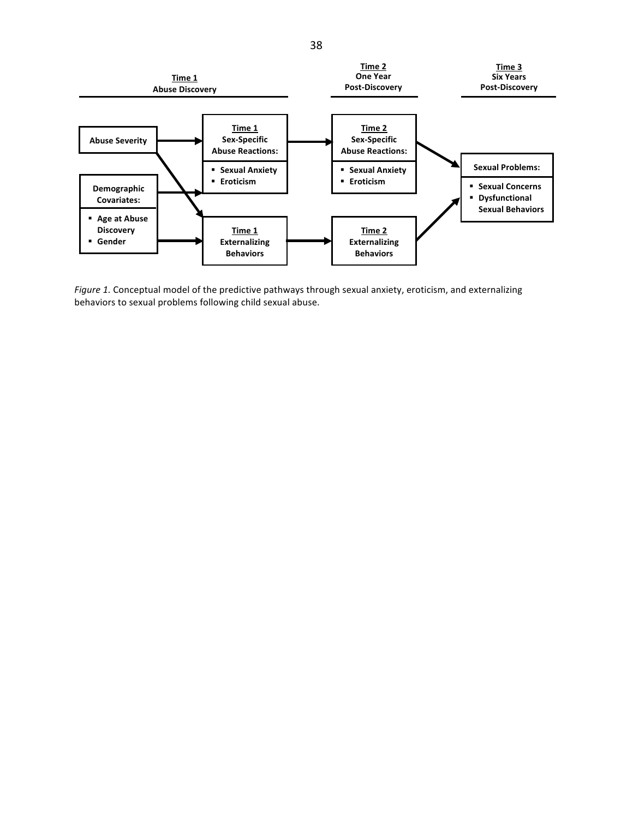

Figure 1. Conceptual model of the predictive pathways through sexual anxiety, eroticism, and externalizing behaviors to sexual problems following child sexual abuse.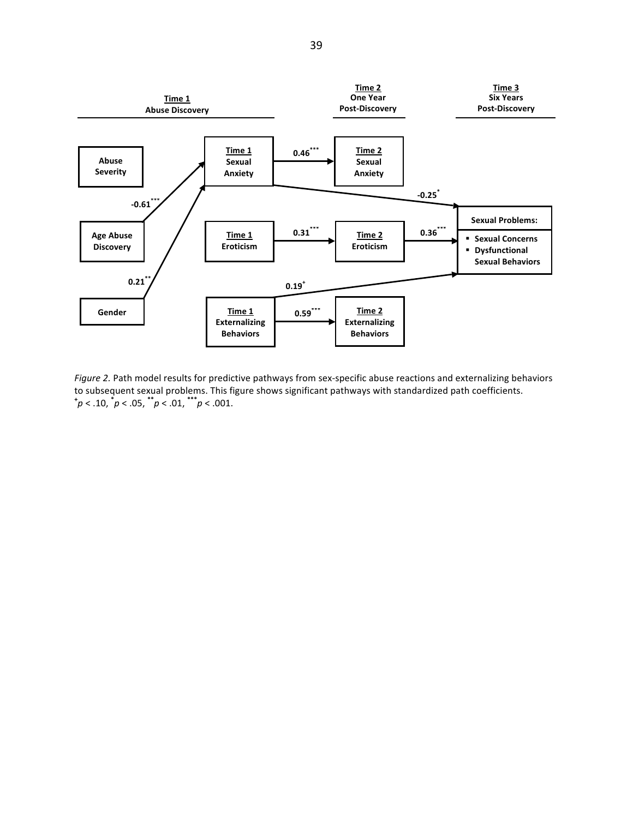

Figure 2. Path model results for predictive pathways from sex-specific abuse reactions and externalizing behaviors to subsequent sexual problems. This figure shows significant pathways with standardized path coefficients.<br> $\dot{p}$  < .10,  $\dot{p}$  < .05,  $\dot{p}$  \* .01,  $\dot{p}$  < .01,  $\dot{p}$  < .01.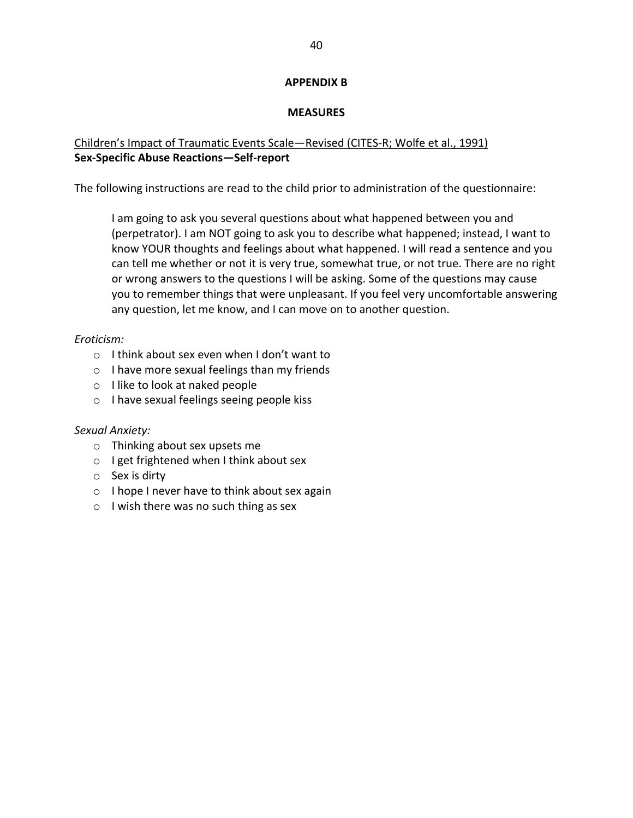## **APPFNDIX B**

## **MEASURES**

# Children's Impact of Traumatic Events Scale-Revised (CITES-R; Wolfe et al., 1991) Sex-Specific Abuse Reactions-Self-report

The following instructions are read to the child prior to administration of the questionnaire:

I am going to ask you several questions about what happened between you and (perpetrator). I am NOT going to ask you to describe what happened; instead, I want to know YOUR thoughts and feelings about what happened. I will read a sentence and you can tell me whether or not it is very true, somewhat true, or not true. There are no right or wrong answers to the questions I will be asking. Some of the questions may cause you to remember things that were unpleasant. If you feel very uncomfortable answering any question, let me know, and I can move on to another question.

# Eroticism:

- $\circ$  I think about sex even when I don't want to
- $\circ$  I have more sexual feelings than my friends
- $\circ$  I like to look at naked people
- $\circ$  I have sexual feelings seeing people kiss

## Sexual Anxiety:

- o Thinking about sex upsets me
- $\circ$  I get frightened when I think about sex
- $\circ$  Sex is dirty
- $\circ$  I hope I never have to think about sex again
- $\circ$  I wish there was no such thing as sex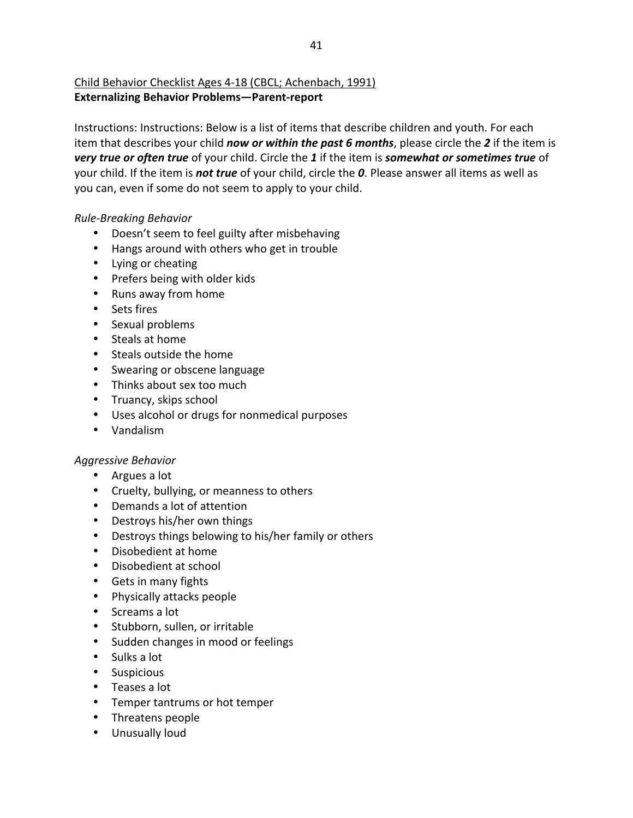# Child Behavior Checklist Ages 4-18 (CBCL; Achenbach, 1991) **Externalizing Behavior Problems-Parent-report**

Instructions: Instructions: Below is a list of items that describe children and youth. For each item that describes your child now or within the past 6 months, please circle the 2 if the item is very true or often true of your child. Circle the 1 if the item is somewhat or sometimes true of your child. If the item is not true of your child, circle the 0. Please answer all items as well as you can, even if some do not seem to apply to your child.

# **Rule-Breaking Behavior**

- Doesn't seem to feel guilty after misbehaving
- Hangs around with others who get in trouble
- Lying or cheating
- Prefers being with older kids
- Runs away from home
- · Sets fires
- Sexual problems
- Steals at home
- Steals outside the home
- Swearing or obscene language
- Thinks about sex too much
- Truancy, skips school
- Uses alcohol or drugs for nonmedical purposes
- Vandalism

# **Aggressive Behavior**

- Argues a lot
- Cruelty, bullying, or meanness to others
- Demands a lot of attention
- Destroys his/her own things
- Destroys things belowing to his/her family or others
- Disobedient at home
- Disobedient at school
- Gets in many fights
- Physically attacks people
- Screams a lot
- Stubborn, sullen, or irritable
- Sudden changes in mood or feelings
- $\bullet$  Sulks a lot
- Suspicious
- Teases a lot
- Temper tantrums or hot temper
- Threatens people
- Unusually loud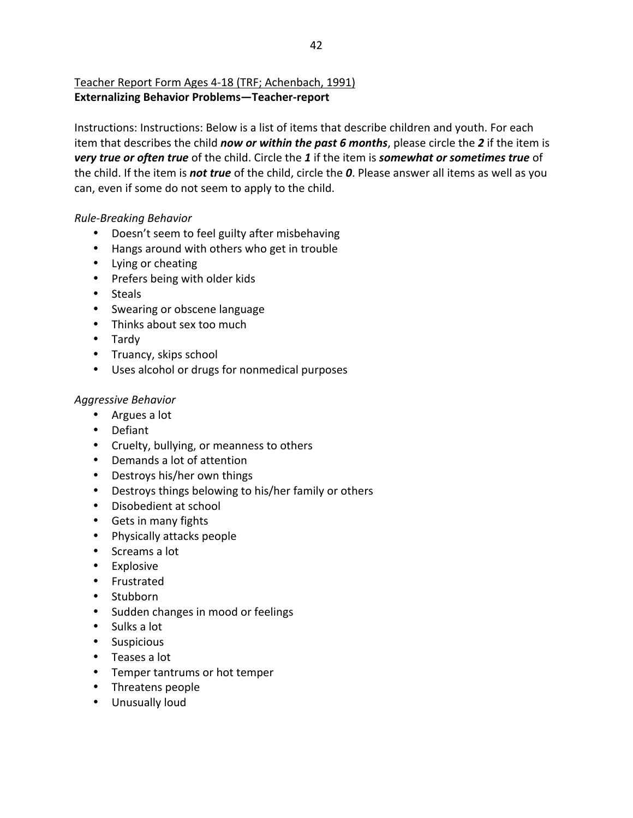# Teacher Report Form Ages 4-18 (TRF; Achenbach, 1991) **Externalizing Behavior Problems-Teacher-report**

Instructions: Instructions: Below is a list of items that describe children and youth. For each item that describes the child now or within the past 6 months, please circle the 2 if the item is very true or often true of the child. Circle the 1 if the item is somewhat or sometimes true of the child. If the item is not true of the child, circle the 0. Please answer all items as well as you can, even if some do not seem to apply to the child.

# **Rule-Breaking Behavior**

- Doesn't seem to feel guilty after misbehaving
- Hangs around with others who get in trouble
- Lying or cheating
- Prefers being with older kids
- Steals
- Swearing or obscene language
- Thinks about sex too much
- Tardy
- Truancy, skips school
- Uses alcohol or drugs for nonmedical purposes

# **Aggressive Behavior**

- Argues a lot
- Defiant
- Cruelty, bullying, or meanness to others
- Demands a lot of attention
- Destroys his/her own things
- Destroys things belowing to his/her family or others
- Disobedient at school
- Gets in many fights
- Physically attacks people
- Screams a lot
- Explosive
- Frustrated
- Stubborn
- Sudden changes in mood or feelings
- $\bullet$  Sulks a lot
- Suspicious
- $\bullet$  Teases a lot
- Temper tantrums or hot temper
- Threatens people
- Unusually loud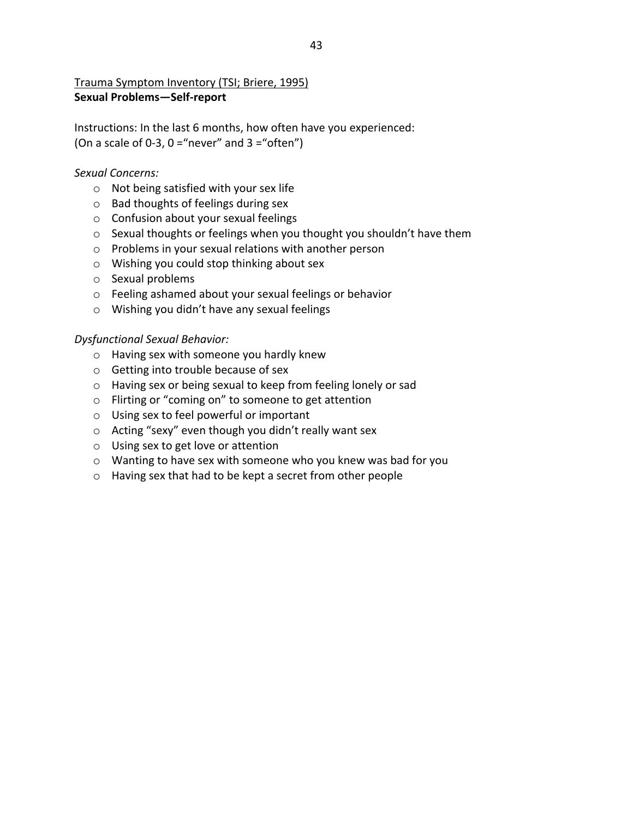# Trauma Symptom Inventory (TSI; Briere, 1995) **Sexual Problems-Self-report**

Instructions: In the last 6 months, how often have you experienced: (On a scale of 0-3,  $0 =$ "never" and  $3 =$ "often")

## Sexual Concerns:

- $\circ$  Not being satisfied with your sex life
- $\circ$  Bad thoughts of feelings during sex
- o Confusion about your sexual feelings
- o Sexual thoughts or feelings when you thought you shouldn't have them
- $\circ$  Problems in your sexual relations with another person
- O Wishing you could stop thinking about sex
- $\circ$  Sexual problems
- o Feeling ashamed about your sexual feelings or behavior
- o Wishing you didn't have any sexual feelings

## **Dysfunctional Sexual Behavior:**

- o Having sex with someone you hardly knew
- Getting into trouble because of sex
- o Having sex or being sexual to keep from feeling lonely or sad
- o Flirting or "coming on" to someone to get attention
- O Using sex to feel powerful or important
- Acting "sexy" even though you didn't really want sex
- o Using sex to get love or attention
- o Wanting to have sex with someone who you knew was bad for you
- o Having sex that had to be kept a secret from other people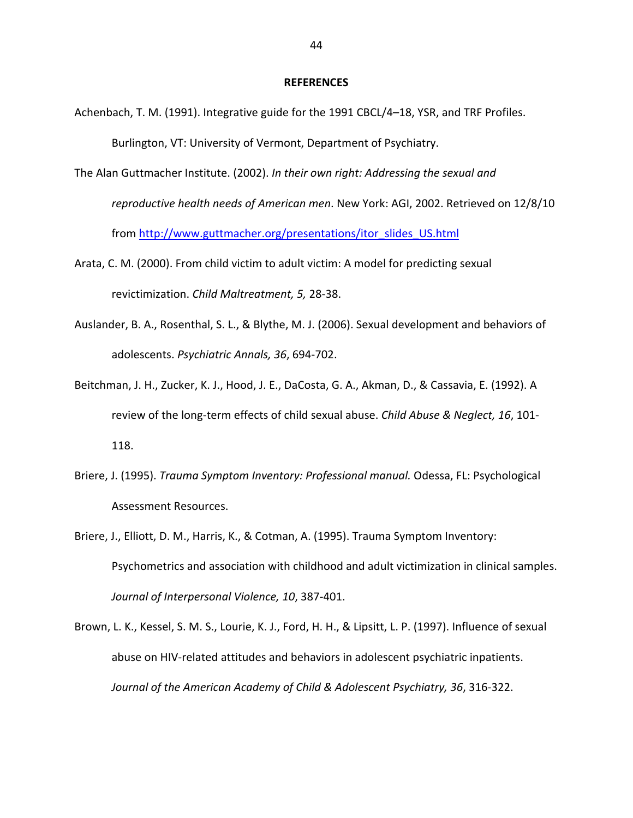#### **REFERENCES**

- Achenbach, T. M. (1991). Integrative guide for the 1991 CBCL/4-18, YSR, and TRF Profiles. Burlington, VT: University of Vermont, Department of Psychiatry.
- The Alan Guttmacher Institute. (2002). In their own right: Addressing the sexual and

reproductive health needs of American men. New York: AGI, 2002. Retrieved on 12/8/10

from http://www.guttmacher.org/presentations/itor slides US.html

- Arata, C. M. (2000). From child victim to adult victim: A model for predicting sexual revictimization. Child Maltreatment, 5, 28-38.
- Auslander, B. A., Rosenthal, S. L., & Blythe, M. J. (2006). Sexual development and behaviors of adolescents. Psychiatric Annals, 36, 694-702.
- Beitchman, J. H., Zucker, K. J., Hood, J. E., DaCosta, G. A., Akman, D., & Cassavia, E. (1992). A review of the long-term effects of child sexual abuse. Child Abuse & Neglect, 16, 101-118.
- Briere, J. (1995). Trauma Symptom Inventory: Professional manual. Odessa, FL: Psychological Assessment Resources.
- Briere, J., Elliott, D. M., Harris, K., & Cotman, A. (1995). Trauma Symptom Inventory: Psychometrics and association with childhood and adult victimization in clinical samples. Journal of Interpersonal Violence, 10, 387-401.
- Brown, L. K., Kessel, S. M. S., Lourie, K. J., Ford, H. H., & Lipsitt, L. P. (1997). Influence of sexual abuse on HIV-related attitudes and behaviors in adolescent psychiatric inpatients. Journal of the American Academy of Child & Adolescent Psychiatry, 36, 316-322.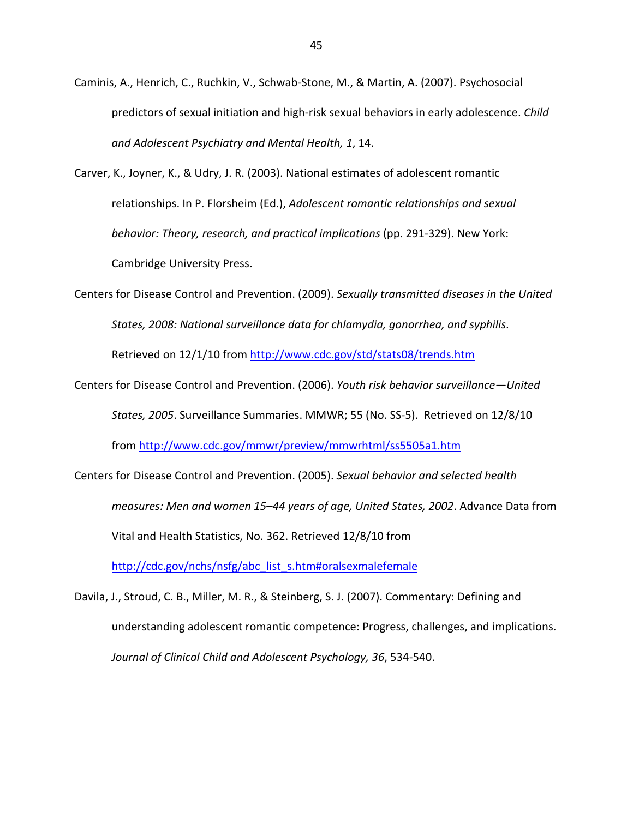Caminis, A., Henrich, C., Ruchkin, V., Schwab-Stone, M., & Martin, A. (2007). Psychosocial predictors of sexual initiation and high-risk sexual behaviors in early adolescence. Child and Adolescent Psychiatry and Mental Health, 1, 14.

Carver, K., Joyner, K., & Udry, J. R. (2003). National estimates of adolescent romantic relationships. In P. Florsheim (Ed.), Adolescent romantic relationships and sexual behavior: Theory, research, and practical implications (pp. 291-329). New York: **Cambridge University Press.** 

Centers for Disease Control and Prevention. (2009). Sexually transmitted diseases in the United States, 2008: National surveillance data for chlamydia, gonorrhea, and syphilis. Retrieved on 12/1/10 from http://www.cdc.gov/std/stats08/trends.htm

Centers for Disease Control and Prevention. (2006). Youth risk behavior surveillance-United States, 2005. Surveillance Summaries. MMWR; 55 (No. SS-5). Retrieved on 12/8/10 from http://www.cdc.gov/mmwr/preview/mmwrhtml/ss5505a1.htm

Centers for Disease Control and Prevention. (2005). Sexual behavior and selected health measures: Men and women 15-44 years of age, United States, 2002. Advance Data from Vital and Health Statistics, No. 362. Retrieved 12/8/10 from http://cdc.gov/nchs/nsfg/abc list s.htm#oralsexmalefemale

Davila, J., Stroud, C. B., Miller, M. R., & Steinberg, S. J. (2007). Commentary: Defining and understanding adolescent romantic competence: Progress, challenges, and implications. Journal of Clinical Child and Adolescent Psychology, 36, 534-540.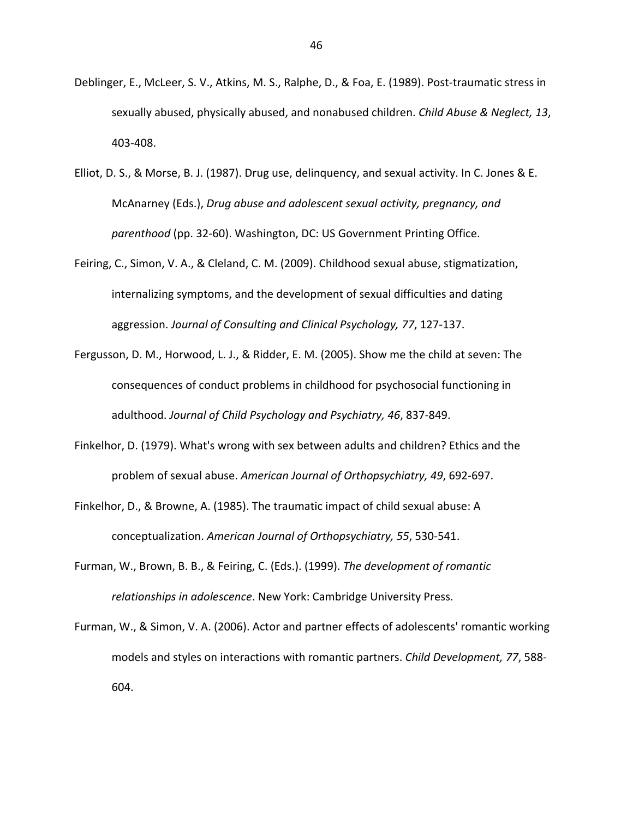- Deblinger, E., McLeer, S. V., Atkins, M. S., Ralphe, D., & Foa, E. (1989). Post-traumatic stress in sexually abused, physically abused, and nonabused children. Child Abuse & Neglect, 13, 403-408.
- Elliot, D. S., & Morse, B. J. (1987). Drug use, delinguency, and sexual activity. In C. Jones & E. McAnarney (Eds.), Drug abuse and adolescent sexual activity, pregnancy, and parenthood (pp. 32-60). Washington, DC: US Government Printing Office.
- Feiring, C., Simon, V. A., & Cleland, C. M. (2009). Childhood sexual abuse, stigmatization, internalizing symptoms, and the development of sexual difficulties and dating aggression. Journal of Consulting and Clinical Psychology, 77, 127-137.
- Fergusson, D. M., Horwood, L. J., & Ridder, E. M. (2005). Show me the child at seven: The consequences of conduct problems in childhood for psychosocial functioning in adulthood. Journal of Child Psychology and Psychiatry, 46, 837-849.
- Finkelhor, D. (1979). What's wrong with sex between adults and children? Ethics and the problem of sexual abuse. American Journal of Orthopsychiatry, 49, 692-697.
- Finkelhor, D., & Browne, A. (1985). The traumatic impact of child sexual abuse: A conceptualization. American Journal of Orthopsychiatry, 55, 530-541.
- Furman, W., Brown, B. B., & Feiring, C. (Eds.). (1999). The development of romantic relationships in adolescence. New York: Cambridge University Press.
- Furman, W., & Simon, V. A. (2006). Actor and partner effects of adolescents' romantic working models and styles on interactions with romantic partners. Child Development, 77, 588-604.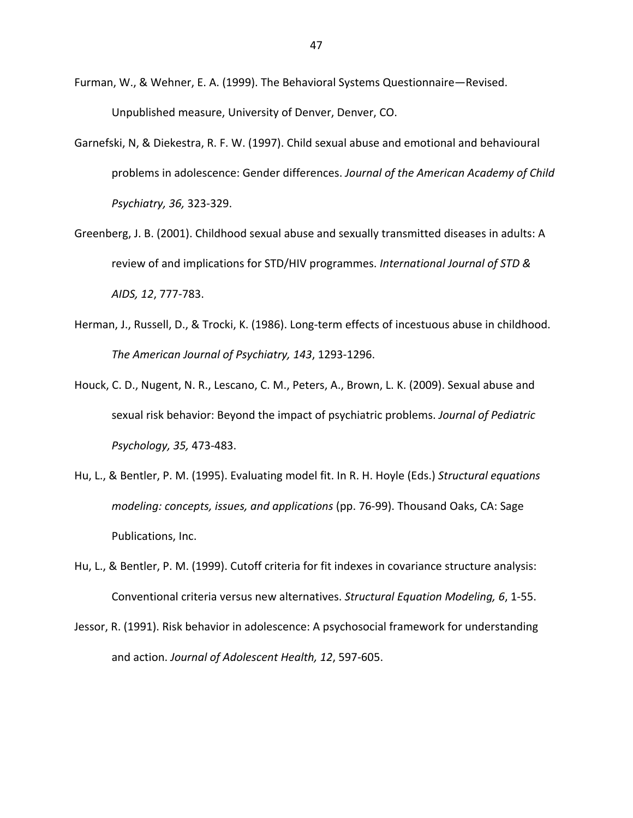- Furman, W., & Wehner, E. A. (1999). The Behavioral Systems Questionnaire-Revised. Unpublished measure, University of Denver, Denver, CO.
- Garnefski, N, & Diekestra, R. F. W. (1997). Child sexual abuse and emotional and behavioural problems in adolescence: Gender differences. Journal of the American Academy of Child Psychiatry, 36, 323-329.
- Greenberg, J. B. (2001). Childhood sexual abuse and sexually transmitted diseases in adults: A review of and implications for STD/HIV programmes. International Journal of STD & AIDS, 12, 777-783.
- Herman, J., Russell, D., & Trocki, K. (1986). Long-term effects of incestuous abuse in childhood. The American Journal of Psychiatry, 143, 1293-1296.
- Houck, C. D., Nugent, N. R., Lescano, C. M., Peters, A., Brown, L. K. (2009). Sexual abuse and sexual risk behavior: Beyond the impact of psychiatric problems. Journal of Pediatric Psychology, 35, 473-483.
- Hu, L., & Bentler, P. M. (1995). Evaluating model fit. In R. H. Hoyle (Eds.) Structural equations modeling: concepts, issues, and applications (pp. 76-99). Thousand Oaks, CA: Sage Publications, Inc.
- Hu, L., & Bentler, P. M. (1999). Cutoff criteria for fit indexes in covariance structure analysis: Conventional criteria versus new alternatives. Structural Equation Modeling, 6, 1-55.
- Jessor, R. (1991). Risk behavior in adolescence: A psychosocial framework for understanding and action. Journal of Adolescent Health, 12, 597-605.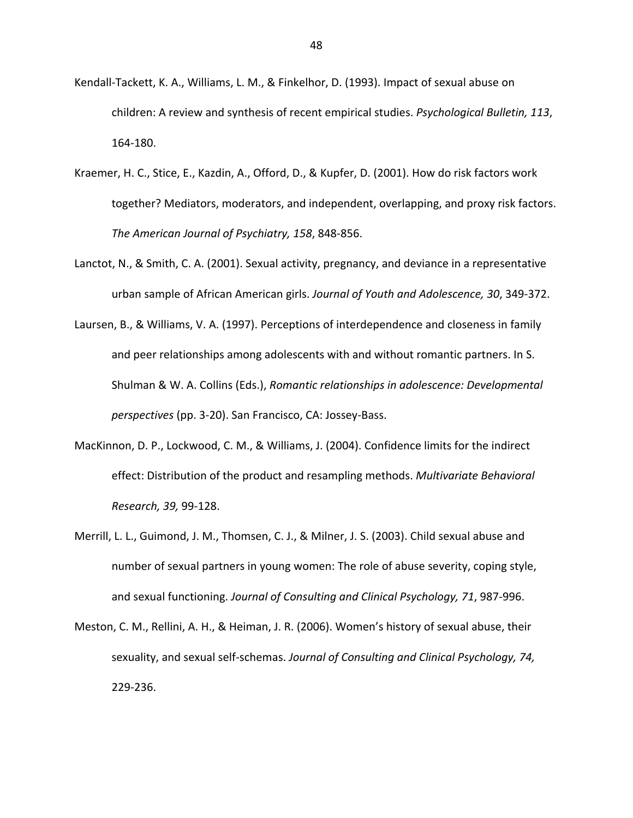- Kendall-Tackett, K. A., Williams, L. M., & Finkelhor, D. (1993). Impact of sexual abuse on children: A review and synthesis of recent empirical studies. Psychological Bulletin, 113, 164-180.
- Kraemer, H. C., Stice, E., Kazdin, A., Offord, D., & Kupfer, D. (2001). How do risk factors work together? Mediators, moderators, and independent, overlapping, and proxy risk factors. The American Journal of Psychiatry, 158, 848-856.
- Lanctot, N., & Smith, C. A. (2001). Sexual activity, pregnancy, and deviance in a representative urban sample of African American girls. Journal of Youth and Adolescence, 30, 349-372.
- Laursen, B., & Williams, V. A. (1997). Perceptions of interdependence and closeness in family and peer relationships among adolescents with and without romantic partners. In S. Shulman & W. A. Collins (Eds.), Romantic relationships in adolescence: Developmental perspectives (pp. 3-20). San Francisco, CA: Jossey-Bass.
- MacKinnon, D. P., Lockwood, C. M., & Williams, J. (2004). Confidence limits for the indirect effect: Distribution of the product and resampling methods. Multivariate Behavioral Research, 39, 99-128.
- Merrill, L. L., Guimond, J. M., Thomsen, C. J., & Milner, J. S. (2003). Child sexual abuse and number of sexual partners in young women: The role of abuse severity, coping style, and sexual functioning. Journal of Consulting and Clinical Psychology, 71, 987-996.
- Meston, C. M., Rellini, A. H., & Heiman, J. R. (2006). Women's history of sexual abuse, their sexuality, and sexual self-schemas. Journal of Consulting and Clinical Psychology, 74, 229-236.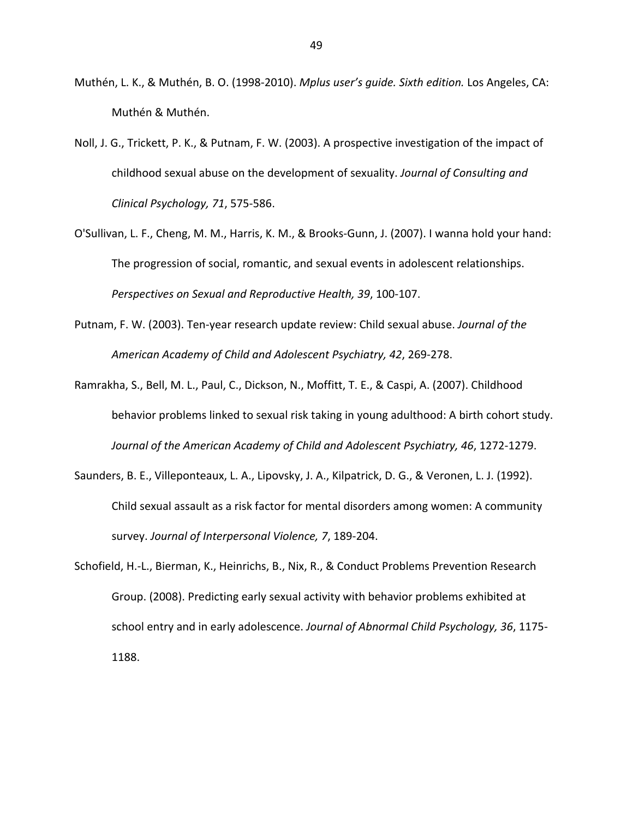- Muthén, L. K., & Muthén, B. O. (1998-2010). Mplus user's quide. Sixth edition. Los Angeles, CA: Muthén & Muthén.
- Noll, J. G., Trickett, P. K., & Putnam, F. W. (2003). A prospective investigation of the impact of childhood sexual abuse on the development of sexuality. Journal of Consulting and Clinical Psychology, 71, 575-586.
- O'Sullivan, L. F., Cheng, M. M., Harris, K. M., & Brooks-Gunn, J. (2007). I wanna hold your hand: The progression of social, romantic, and sexual events in adolescent relationships. Perspectives on Sexual and Reproductive Health, 39, 100-107.
- Putnam, F. W. (2003). Ten-year research update review: Child sexual abuse. Journal of the American Academy of Child and Adolescent Psychiatry, 42, 269-278.
- Ramrakha, S., Bell, M. L., Paul, C., Dickson, N., Moffitt, T. E., & Caspi, A. (2007). Childhood behavior problems linked to sexual risk taking in young adulthood: A birth cohort study. Journal of the American Academy of Child and Adolescent Psychiatry, 46, 1272-1279.
- Saunders, B. E., Villeponteaux, L. A., Lipovsky, J. A., Kilpatrick, D. G., & Veronen, L. J. (1992). Child sexual assault as a risk factor for mental disorders among women: A community survey. Journal of Interpersonal Violence, 7, 189-204.
- Schofield, H.-L., Bierman, K., Heinrichs, B., Nix, R., & Conduct Problems Prevention Research Group. (2008). Predicting early sexual activity with behavior problems exhibited at school entry and in early adolescence. Journal of Abnormal Child Psychology, 36, 1175-1188.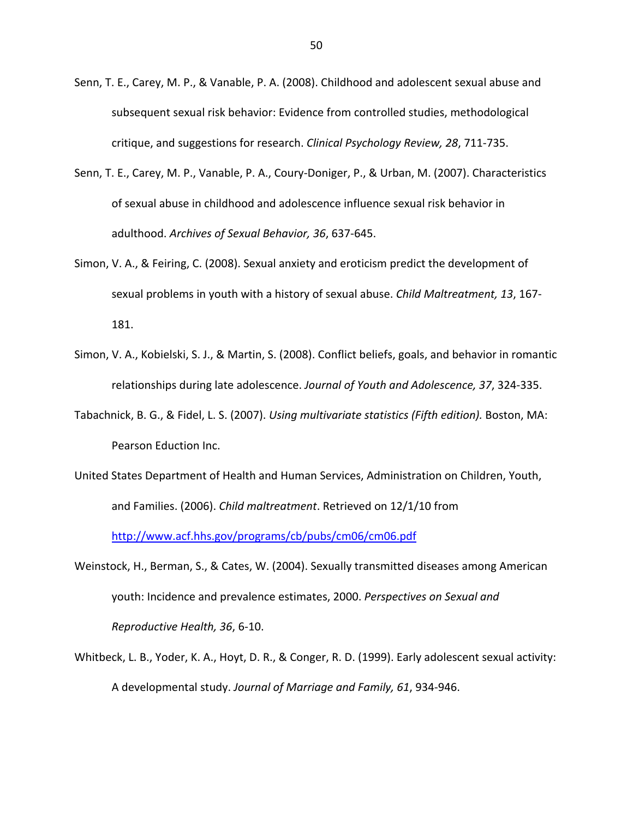- Senn, T. E., Carey, M. P., & Vanable, P. A. (2008). Childhood and adolescent sexual abuse and subsequent sexual risk behavior: Evidence from controlled studies, methodological critique, and suggestions for research. Clinical Psychology Review, 28, 711-735.
- Senn, T. E., Carey, M. P., Vanable, P. A., Coury-Doniger, P., & Urban, M. (2007). Characteristics of sexual abuse in childhood and adolescence influence sexual risk behavior in adulthood. Archives of Sexual Behavior, 36, 637-645.
- Simon, V. A., & Feiring, C. (2008). Sexual anxiety and eroticism predict the development of sexual problems in youth with a history of sexual abuse. Child Maltreatment, 13, 167-181.
- Simon, V. A., Kobielski, S. J., & Martin, S. (2008). Conflict beliefs, goals, and behavior in romantic relationships during late adolescence. Journal of Youth and Adolescence, 37, 324-335.
- Tabachnick, B. G., & Fidel, L. S. (2007). Using multivariate statistics (Fifth edition). Boston, MA: Pearson Eduction Inc.
- United States Department of Health and Human Services, Administration on Children, Youth, and Families. (2006). Child maltreatment. Retrieved on 12/1/10 from http://www.acf.hhs.gov/programs/cb/pubs/cm06/cm06.pdf
- Weinstock, H., Berman, S., & Cates, W. (2004). Sexually transmitted diseases among American youth: Incidence and prevalence estimates, 2000. Perspectives on Sexual and Reproductive Health, 36, 6-10.
- Whitbeck, L. B., Yoder, K. A., Hoyt, D. R., & Conger, R. D. (1999). Early adolescent sexual activity: A developmental study. Journal of Marriage and Family, 61, 934-946.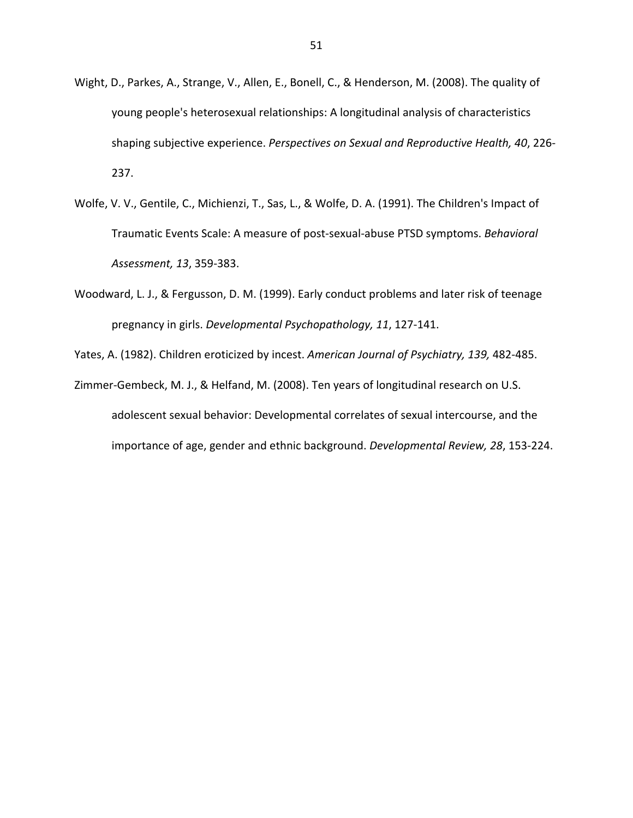- Wight, D., Parkes, A., Strange, V., Allen, E., Bonell, C., & Henderson, M. (2008). The quality of young people's heterosexual relationships: A longitudinal analysis of characteristics shaping subjective experience. Perspectives on Sexual and Reproductive Health, 40, 226-237.
- Wolfe, V. V., Gentile, C., Michienzi, T., Sas, L., & Wolfe, D. A. (1991). The Children's Impact of Traumatic Events Scale: A measure of post-sexual-abuse PTSD symptoms. Behavioral Assessment, 13, 359-383.
- Woodward, L. J., & Fergusson, D. M. (1999). Early conduct problems and later risk of teenage pregnancy in girls. Developmental Psychopathology, 11, 127-141.

Yates, A. (1982). Children eroticized by incest. American Journal of Psychiatry, 139, 482-485.

Zimmer-Gembeck, M. J., & Helfand, M. (2008). Ten years of longitudinal research on U.S. adolescent sexual behavior: Developmental correlates of sexual intercourse, and the importance of age, gender and ethnic background. Developmental Review, 28, 153-224.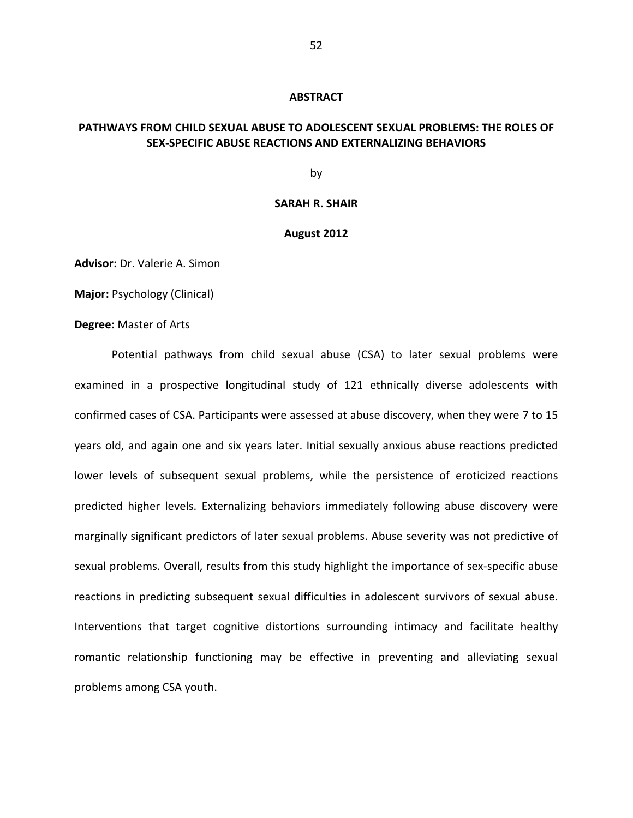#### **ABSTRACT**

## PATHWAYS FROM CHILD SEXUAL ABUSE TO ADOLESCENT SEXUAL PROBLEMS: THE ROLES OF SEX-SPECIFIC ABUSE REACTIONS AND EXTERNALIZING BEHAVIORS

bv

## **SARAH R. SHAIR**

#### August 2012

Advisor: Dr. Valerie A. Simon

**Major: Psychology (Clinical)** 

Degree: Master of Arts

Potential pathways from child sexual abuse (CSA) to later sexual problems were examined in a prospective longitudinal study of 121 ethnically diverse adolescents with confirmed cases of CSA. Participants were assessed at abuse discovery, when they were 7 to 15 years old, and again one and six years later. Initial sexually anxious abuse reactions predicted lower levels of subsequent sexual problems, while the persistence of eroticized reactions predicted higher levels. Externalizing behaviors immediately following abuse discovery were marginally significant predictors of later sexual problems. Abuse severity was not predictive of sexual problems. Overall, results from this study highlight the importance of sex-specific abuse reactions in predicting subsequent sexual difficulties in adolescent survivors of sexual abuse. Interventions that target cognitive distortions surrounding intimacy and facilitate healthy romantic relationship functioning may be effective in preventing and alleviating sexual problems among CSA youth.